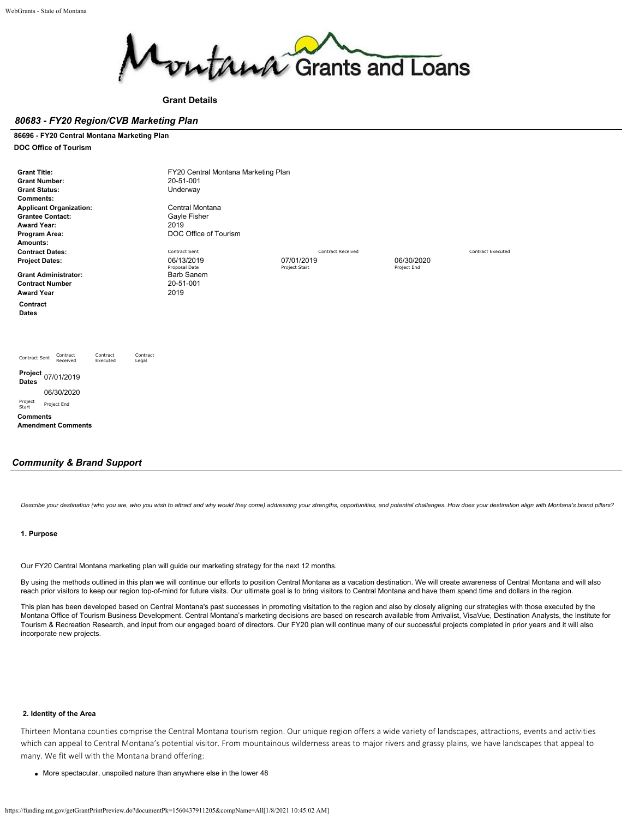

#### **Grant Details**

#### *80683 - FY20 Region/CVB Marketing Plan*

### **86696 - FY20 Central Montana Marketing Plan**

**DOC Office of Tourism**

| <b>Grant Title:</b><br><b>Grant Number:</b><br><b>Grant Status:</b><br><b>Comments:</b><br><b>Applicant Organization:</b><br><b>Grantee Contact:</b><br><b>Award Year:</b><br>Program Area:<br>Amounts: |                      |                   | FY20 Central Montana Marketing Plan<br>20-51-001<br>Underway<br>Central Montana<br>Gayle Fisher<br>2019<br>DOC Office of Tourism |                                                         |                           |                          |
|---------------------------------------------------------------------------------------------------------------------------------------------------------------------------------------------------------|----------------------|-------------------|----------------------------------------------------------------------------------------------------------------------------------|---------------------------------------------------------|---------------------------|--------------------------|
| <b>Contract Dates:</b><br><b>Project Dates:</b><br><b>Grant Administrator:</b><br><b>Contract Number</b>                                                                                                |                      |                   | Contract Sent<br>06/13/2019<br>Proposal Date<br>Barb Sanem<br>20-51-001                                                          | <b>Contract Received</b><br>07/01/2019<br>Project Start | 06/30/2020<br>Project End | <b>Contract Executed</b> |
| <b>Award Year</b><br>Contract<br><b>Dates</b>                                                                                                                                                           |                      |                   | 2019                                                                                                                             |                                                         |                           |                          |
| Contract<br>Contract Sent<br>Received<br>Project<br>07/01/2019<br><b>Dates</b><br>06/30/2020<br>Project<br>Project End<br>Start<br><b>Comments</b><br><b>Amendment Comments</b>                         | Contract<br>Executed | Contract<br>Legal |                                                                                                                                  |                                                         |                           |                          |

#### *Community & Brand Support*

Describe your destination (who you are, who you wish to attract and why would they come) addressing your strengths, opportunities, and potential challenges. How does your destination align with Montana's brand pillars?

#### **1. Purpose**

Our FY20 Central Montana marketing plan will guide our marketing strategy for the next 12 months.

By using the methods outlined in this plan we will continue our efforts to position Central Montana as a vacation destination. We will create awareness of Central Montana and will also reach prior visitors to keep our region top-of-mind for future visits. Our ultimate goal is to bring visitors to Central Montana and have them spend time and dollars in the region.

This plan has been developed based on Central Montana's past successes in promoting visitation to the region and also by closely aligning our strategies with those executed by the Montana Office of Tourism Business Development. Central Montana's marketing decisions are based on research available from Arrivalist, VisaVue, Destination Analysts, the Institute for Tourism & Recreation Research, and input from our engaged board of directors. Our FY20 plan will continue many of our successful projects completed in prior years and it will also incorporate new projects.

### **2. Identity of the Area**

Thirteen Montana counties comprise the Central Montana tourism region. Our unique region offers a wide variety of landscapes, attractions, events and activities which can appeal to Central Montana's potential visitor. From mountainous wilderness areas to major rivers and grassy plains, we have landscapes that appeal to many. We fit well with the Montana brand offering:

More spectacular, unspoiled nature than anywhere else in the lower 48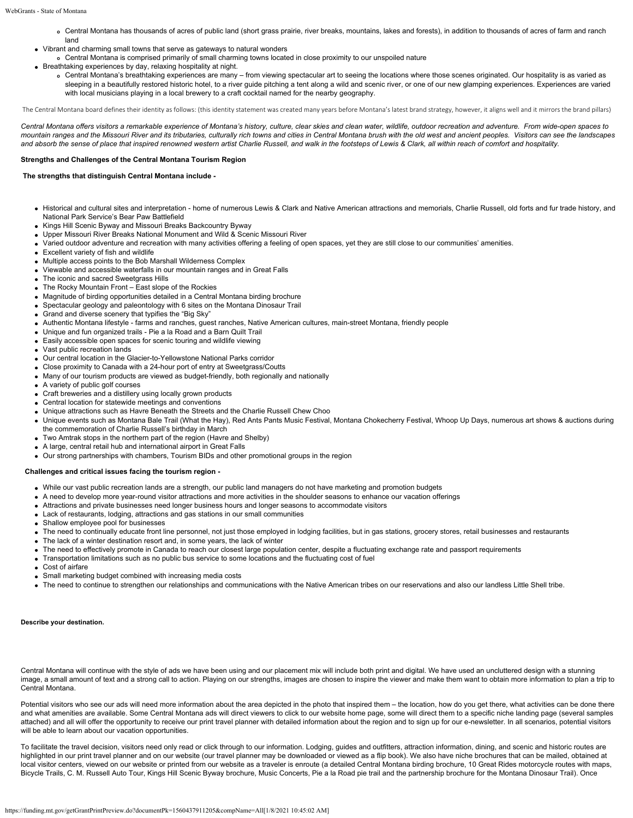- Central Montana has thousands of acres of public land (short grass prairie, river breaks, mountains, lakes and forests), in addition to thousands of acres of farm and ranch land
- Vibrant and charming small towns that serve as gateways to natural wonders
	- Central Montana is comprised primarily of small charming towns located in close proximity to our unspoiled nature
- Breathtaking experiences by day, relaxing hospitality at night.
	- Central Montana's breathtaking experiences are many from viewing spectacular art to seeing the locations where those scenes originated. Our hospitality is as varied as sleeping in a beautifully restored historic hotel, to a river guide pitching a tent along a wild and scenic river, or one of our new glamping experiences. Experiences are varied with local musicians playing in a local brewery to a craft cocktail named for the nearby geography.

The Central Montana board defines their identity as follows: (this identity statement was created many years before Montana's latest brand strategy, however, it aligns well and it mirrors the brand pillars)

*Central Montana offers visitors a remarkable experience of Montana's history, culture, clear skies and clean water, wildlife, outdoor recreation and adventure. From wide-open spaces to mountain ranges and the Missouri River and its tributaries, culturally rich towns and cities in Central Montana brush with the old west and ancient peoples. Visitors can see the landscapes and absorb the sense of place that inspired renowned western artist Charlie Russell, and walk in the footsteps of Lewis & Clark, all within reach of comfort and hospitality.*

#### **Strengths and Challenges of the Central Montana Tourism Region**

#### **The strengths that distinguish Central Montana include -**

- Historical and cultural sites and interpretation home of numerous Lewis & Clark and Native American attractions and memorials, Charlie Russell, old forts and fur trade history, and National Park Service's Bear Paw Battlefield
- Kings Hill Scenic Byway and Missouri Breaks Backcountry Byway
- Upper Missouri River Breaks National Monument and Wild & Scenic Missouri River
- Varied outdoor adventure and recreation with many activities offering a feeling of open spaces, yet they are still close to our communities' amenities.
- Excellent variety of fish and wildlife
- Multiple access points to the Bob Marshall Wilderness Complex
- Viewable and accessible waterfalls in our mountain ranges and in Great Falls
- The iconic and sacred Sweetgrass Hills
- The Rocky Mountain Front East slope of the Rockies
- Magnitude of birding opportunities detailed in a Central Montana birding brochure
- Spectacular geology and paleontology with 6 sites on the Montana Dinosaur Trail
- Grand and diverse scenery that typifies the "Big Sky"
- Authentic Montana lifestyle farms and ranches, guest ranches, Native American cultures, main-street Montana, friendly people
- Unique and fun organized trails Pie a la Road and a Barn Quilt Trail
- Easily accessible open spaces for scenic touring and wildlife viewing
- Vast public recreation lands
- Our central location in the Glacier-to-Yellowstone National Parks corridor
- Close proximity to Canada with a 24-hour port of entry at Sweetgrass/Coutts
- Many of our tourism products are viewed as budget-friendly, both regionally and nationally
- A variety of public golf courses
- Craft breweries and a distillery using locally grown products
- Central location for statewide meetings and conventions
- Unique attractions such as Havre Beneath the Streets and the Charlie Russell Chew Choo
- Unique events such as Montana Bale Trail (What the Hay), Red Ants Pants Music Festival, Montana Chokecherry Festival, Whoop Up Days, numerous art shows & auctions during the commemoration of Charlie Russell's birthday in March
- Two Amtrak stops in the northern part of the region (Havre and Shelby)
- A large, central retail hub and international airport in Great Falls
- Our strong partnerships with chambers, Tourism BIDs and other promotional groups in the region

#### **Challenges and critical issues facing the tourism region -**

- While our vast public recreation lands are a strength, our public land managers do not have marketing and promotion budgets
- A need to develop more year-round visitor attractions and more activities in the shoulder seasons to enhance our vacation offerings
- Attractions and private businesses need longer business hours and longer seasons to accommodate visitors
- Lack of restaurants, lodging, attractions and gas stations in our small communities
- Shallow employee pool for businesses
- The need to continually educate front line personnel, not just those employed in lodging facilities, but in gas stations, grocery stores, retail businesses and restaurants
- The lack of a winter destination resort and, in some years, the lack of winter
- The need to effectively promote in Canada to reach our closest large population center, despite a fluctuating exchange rate and passport requirements
- Transportation limitations such as no public bus service to some locations and the fluctuating cost of fuel
- Cost of airfare
- Small marketing budget combined with increasing media costs
- The need to continue to strengthen our relationships and communications with the Native American tribes on our reservations and also our landless Little Shell tribe.

#### **Describe your destination.**

Central Montana will continue with the style of ads we have been using and our placement mix will include both print and digital. We have used an uncluttered design with a stunning image, a small amount of text and a strong call to action. Playing on our strengths, images are chosen to inspire the viewer and make them want to obtain more information to plan a trip to Central Montana.

Potential visitors who see our ads will need more information about the area depicted in the photo that inspired them – the location, how do you get there, what activities can be done there and what amenities are available. Some Central Montana ads will direct viewers to click to our website home page, some will direct them to a specific niche landing page (several samples attached) and all will offer the opportunity to receive our print travel planner with detailed information about the region and to sign up for our e-newsletter. In all scenarios, potential visitors will be able to learn about our vacation opportunities.

To facilitate the travel decision, visitors need only read or click through to our information. Lodging, guides and outfitters, attraction information, dining, and scenic and historic routes are highlighted in our print travel planner and on our website (our travel planner may be downloaded or viewed as a flip book). We also have niche brochures that can be mailed, obtained at local visitor centers, viewed on our website or printed from our website as a traveler is enroute (a detailed Central Montana birding brochure, 10 Great Rides motorcycle routes with maps, Bicycle Trails, C. M. Russell Auto Tour, Kings Hill Scenic Byway brochure, Music Concerts, Pie a la Road pie trail and the partnership brochure for the Montana Dinosaur Trail). Once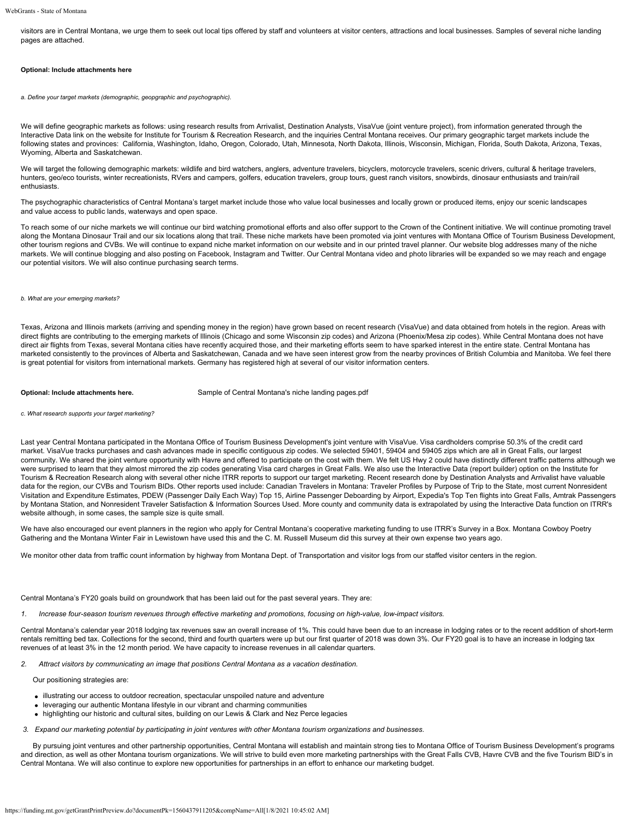visitors are in Central Montana, we urge them to seek out local tips offered by staff and volunteers at visitor centers, attractions and local businesses. Samples of several niche landing pages are attached.

#### **Optional: Include attachments here**

*a. Define your target markets (demographic, geopgraphic and psychographic).*

We will define geographic markets as follows: using research results from Arrivalist, Destination Analysts, VisaVue (joint venture project), from information generated through the Interactive Data link on the website for Institute for Tourism & Recreation Research, and the inquiries Central Montana receives. Our primary geographic target markets include the following states and provinces: California, Washington, Idaho, Oregon, Colorado, Utah, Minnesota, North Dakota, Illinois, Wisconsin, Michigan, Florida, South Dakota, Arizona, Texas, Wyoming, Alberta and Saskatchewan.

We will target the following demographic markets: wildlife and bird watchers, anglers, adventure travelers, bicyclers, motorcycle travelers, scenic drivers, cultural & heritage travelers, hunters, geo/eco tourists, winter recreationists, RVers and campers, golfers, education travelers, group tours, guest ranch visitors, snowbirds, dinosaur enthusiasts and train/rail enthusiasts.

The psychographic characteristics of Central Montana's target market include those who value local businesses and locally grown or produced items, enjoy our scenic landscapes and value access to public lands, waterways and open space.

To reach some of our niche markets we will continue our bird watching promotional efforts and also offer support to the Crown of the Continent initiative. We will continue promoting travel along the Montana Dinosaur Trail and our six locations along that trail. These niche markets have been promoted via joint ventures with Montana Office of Tourism Business Development, other tourism regions and CVBs. We will continue to expand niche market information on our website and in our printed travel planner. Our website blog addresses many of the niche markets. We will continue blogging and also posting on Facebook, Instagram and Twitter. Our Central Montana video and photo libraries will be expanded so we may reach and engage our potential visitors. We will also continue purchasing search terms.

#### *b. What are your emerging markets?*

Texas, Arizona and Illinois markets (arriving and spending money in the region) have grown based on recent research (VisaVue) and data obtained from hotels in the region. Areas with direct flights are contributing to the emerging markets of Illinois (Chicago and some Wisconsin zip codes) and Arizona (Phoenix/Mesa zip codes). While Central Montana does not have direct air flights from Texas, several Montana cities have recently acquired those, and their marketing efforts seem to have sparked interest in the entire state. Central Montana has marketed consistently to the provinces of Alberta and Saskatchewan, Canada and we have seen interest grow from the nearby provinces of British Columbia and Manitoba. We feel there is great potential for visitors from international markets. Germany has registered high at several of our visitor information centers.

**Optional: Include attachments here.** [Sample of Central Montana's niche landing pages.pdf](https://funding.mt.gov/fileDownload.jsp?filename=1556488204326_Sample+of+Central+Montana%27s+niche+landing+pages.pdf)

*c. What research supports your target marketing?*

Last year Central Montana participated in the Montana Office of Tourism Business Development's joint venture with VisaVue. Visa cardholders comprise 50.3% of the credit card market. VisaVue tracks purchases and cash advances made in specific contiguous zip codes. We selected 59401, 59404 and 59405 zips which are all in Great Falls, our largest community. We shared the joint venture opportunity with Havre and offered to participate on the cost with them. We felt US Hwy 2 could have distinctly different traffic patterns although we were surprised to learn that they almost mirrored the zip codes generating Visa card charges in Great Falls. We also use the Interactive Data (report builder) option on the Institute for Tourism & Recreation Research along with several other niche ITRR reports to support our target marketing. Recent research done by Destination Analysts and Arrivalist have valuable data for the region, our CVBs and Tourism BIDs. Other reports used include: Canadian Travelers in Montana: Traveler Profiles by Purpose of Trip to the State, most current Nonresident Visitation and Expenditure Estimates, PDEW (Passenger Daily Each Way) Top 15, Airline Passenger Deboarding by Airport, Expedia's Top Ten flights into Great Falls, Amtrak Passengers by Montana Station, and Nonresident Traveler Satisfaction & Information Sources Used. More county and community data is extrapolated by using the Interactive Data function on ITRR's website although, in some cases, the sample size is quite small.

We have also encouraged our event planners in the region who apply for Central Montana's cooperative marketing funding to use ITRR's Survey in a Box. Montana Cowboy Poetry Gathering and the Montana Winter Fair in Lewistown have used this and the C. M. Russell Museum did this survey at their own expense two years ago.

We monitor other data from traffic count information by highway from Montana Dept. of Transportation and visitor logs from our staffed visitor centers in the region.

Central Montana's FY20 goals build on groundwork that has been laid out for the past several years. They are:

*1. Increase four-season tourism revenues through effective marketing and promotions, focusing on high-value, low-impact visitors.*

Central Montana's calendar year 2018 lodging tax revenues saw an overall increase of 1%. This could have been due to an increase in lodging rates or to the recent addition of short-term rentals remitting bed tax. Collections for the second, third and fourth quarters were up but our first quarter of 2018 was down 3%. Our FY20 goal is to have an increase in lodging tax revenues of at least 3% in the 12 month period. We have capacity to increase revenues in all calendar quarters.

*2. Attract visitors by communicating an image that positions Central Montana as a vacation destination.*

**Our positioning strategies are:** 

- illustrating our access to outdoor recreation, spectacular unspoiled nature and adventure
- leveraging our authentic Montana lifestyle in our vibrant and charming communities
- highlighting our historic and cultural sites, building on our Lewis & Clark and Nez Perce legacies
- *3. Expand our marketing potential by participating in joint ventures with other Montana tourism organizations and businesses.*

 By pursuing joint ventures and other partnership opportunities, Central Montana will establish and maintain strong ties to Montana Office of Tourism Business Development's programs and direction, as well as other Montana tourism organizations. We will strive to build even more marketing partnerships with the Great Falls CVB, Havre CVB and the five Tourism BID's in Central Montana. We will also continue to explore new opportunities for partnerships in an effort to enhance our marketing budget.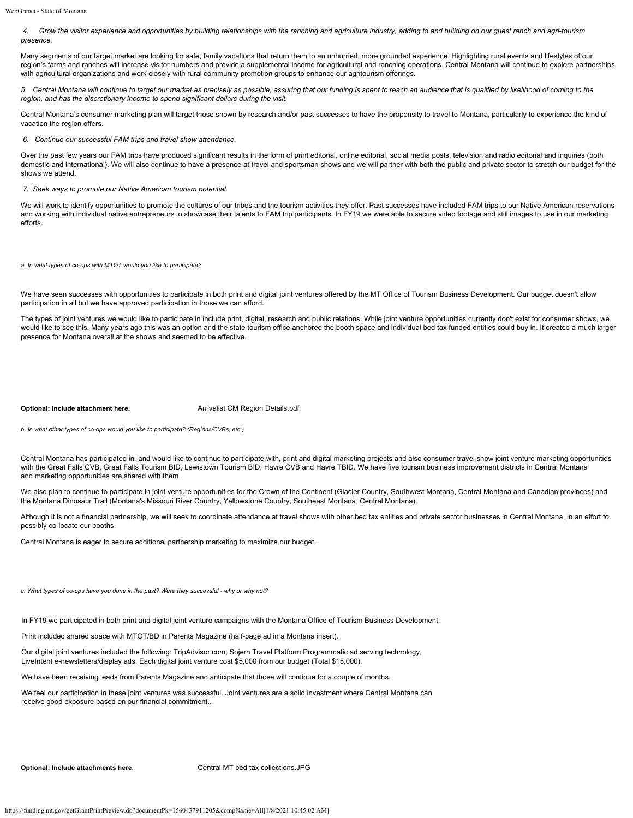*4. Grow the visitor experience and opportunities by building relationships with the ranching and agriculture industry, adding to and building on our guest ranch and agri-tourism presence.*

Many segments of our target market are looking for safe, family vacations that return them to an unhurried, more grounded experience. Highlighting rural events and lifestyles of our region's farms and ranches will increase visitor numbers and provide a supplemental income for agricultural and ranching operations. Central Montana will continue to explore partnerships with agricultural organizations and work closely with rural community promotion groups to enhance our agritourism offerings.

*5. Central Montana will continue to target our market as precisely as possible, assuring that our funding is spent to reach an audience that is qualified by likelihood of coming to the region, and has the discretionary income to spend significant dollars during the visit.* 

Central Montana's consumer marketing plan will target those shown by research and/or past successes to have the propensity to travel to Montana, particularly to experience the kind of vacation the region offers.

*6. Continue our successful FAM trips and travel show attendance.*

Over the past few years our FAM trips have produced significant results in the form of print editorial, online editorial, social media posts, television and radio editorial and inquiries (both domestic and international). We will also continue to have a presence at travel and sportsman shows and we will partner with both the public and private sector to stretch our budget for the shows we attend.

*7. Seek ways to promote our Native American tourism potential.*

We will work to identify opportunities to promote the cultures of our tribes and the tourism activities they offer. Past successes have included FAM trips to our Native American reservations and working with individual native entrepreneurs to showcase their talents to FAM trip participants. In FY19 we were able to secure video footage and still images to use in our marketing efforts.

*a. In what types of co-ops with MTOT would you like to participate?*

We have seen successes with opportunities to participate in both print and digital joint ventures offered by the MT Office of Tourism Business Development. Our budget doesn't allow participation in all but we have approved participation in those we can afford.

The types of joint ventures we would like to participate in include print, digital, research and public relations. While joint venture opportunities currently don't exist for consumer shows, we would like to see this. Many years ago this was an option and the state tourism office anchored the booth space and individual bed tax funded entities could buy in. It created a much larger presence for Montana overall at the shows and seemed to be effective.

**Optional: Include attachment here.** [Arrivalist CM Region Details.pdf](https://funding.mt.gov/fileDownload.jsp?filename=1556490150851_Arrivalist+CM+Region+Details.pdf)

*b. In what other types of co-ops would you like to participate? (Regions/CVBs, etc.)*

Central Montana has participated in, and would like to continue to participate with, print and digital marketing projects and also consumer travel show joint venture marketing opportunities with the Great Falls CVB, Great Falls Tourism BID, Lewistown Tourism BID, Havre CVB and Havre TBID. We have five tourism business improvement districts in Central Montana and marketing opportunities are shared with them.

We also plan to continue to participate in joint venture opportunities for the Crown of the Continent (Glacier Country, Southwest Montana, Central Montana and Canadian provinces) and the Montana Dinosaur Trail (Montana's Missouri River Country, Yellowstone Country, Southeast Montana, Central Montana).

Although it is not a financial partnership, we will seek to coordinate attendance at travel shows with other bed tax entities and private sector businesses in Central Montana, in an effort to possibly co-locate our booths.

Central Montana is eager to secure additional partnership marketing to maximize our budget.

*c. What types of co-ops have you done in the past? Were they successful - why or why not?*

In FY19 we participated in both print and digital joint venture campaigns with the Montana Office of Tourism Business Development.

Print included shared space with MTOT/BD in Parents Magazine (half-page ad in a Montana insert).

Our digital joint ventures included the following: TripAdvisor.com, Sojern Travel Platform Programmatic ad serving technology, LiveIntent e-newsletters/display ads. Each digital joint venture cost \$5,000 from our budget (Total \$15,000).

We have been receiving leads from Parents Magazine and anticipate that those will continue for a couple of months.

We feel our participation in these joint ventures was successful. Joint ventures are a solid investment where Central Montana can receive good exposure based on our financial commitment..

**Optional: Include attachments here.** [Central MT bed tax collections.JPG](https://funding.mt.gov/fileDownload.jsp?filename=1556497687783_Central+MT+bed+tax+collections.JPG)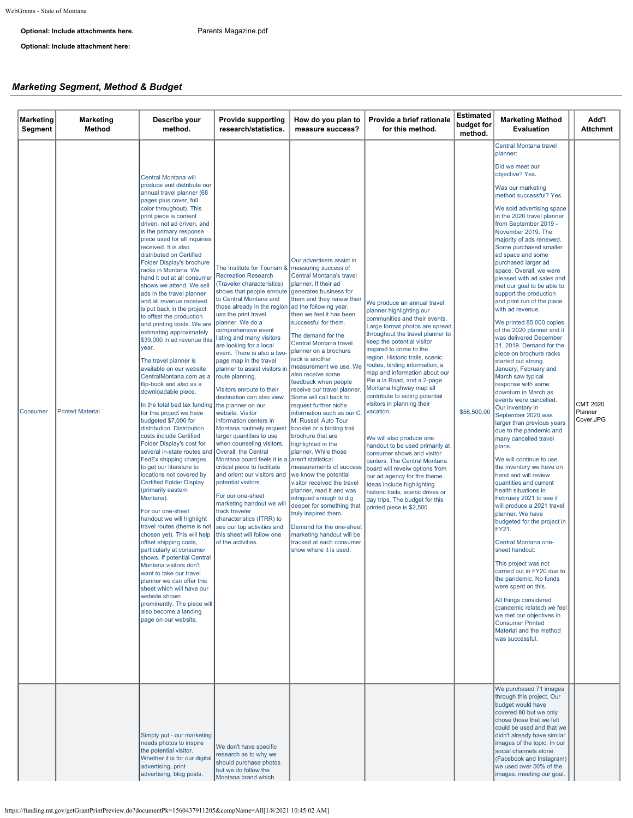### **Optional: Include attachments here.** [Parents Magazine.pdf](https://funding.mt.gov/fileDownload.jsp?filename=1556497687790_Parents+Magazine.pdf)

**Optional: Include attachment here:**

## *Marketing Segment, Method & Budget*

| Marketing<br>Segment | <b>Marketing</b><br>Method | Describe your<br>method.                                                                                                                                                                                                                                                                                                                                                                                                                                                                                                                                                                                                                                                                                                                                                                                                                                                                                                                                                                                                                                                                                                                                                                                                                                                                                                                                                                                                                                                                                                                                                                                                                  | <b>Provide supporting</b><br>research/statistics.                                                                                                                                                                                                                                                                                                                                                                                                                                                                                                                                                                                                                                                                                                                                                                                                                                              | How do you plan to<br>measure success?                                                                                                                                                                                                                                                                                                                                                                                                                                                                                                                                                                                                                                                                                                                                                                                                                                                                                                                                                     | Provide a brief rationale<br>for this method.                                                                                                                                                                                                                                                                                                                                                                                                                                                                                                                                                                                                                                                                                                                                                         | <b>Estimated</b><br>budget for<br>method. | <b>Marketing Method</b><br><b>Evaluation</b>                                                                                                                                                                                                                                                                                                                                                                                                                                                                                                                                                                                                                                                                                                                                                                                                                                                                                                                                                                                                                                                                                                                                                                                                                                                                                                                                                                                                                                                            | Add'l<br><b>Attchmnt</b>                |
|----------------------|----------------------------|-------------------------------------------------------------------------------------------------------------------------------------------------------------------------------------------------------------------------------------------------------------------------------------------------------------------------------------------------------------------------------------------------------------------------------------------------------------------------------------------------------------------------------------------------------------------------------------------------------------------------------------------------------------------------------------------------------------------------------------------------------------------------------------------------------------------------------------------------------------------------------------------------------------------------------------------------------------------------------------------------------------------------------------------------------------------------------------------------------------------------------------------------------------------------------------------------------------------------------------------------------------------------------------------------------------------------------------------------------------------------------------------------------------------------------------------------------------------------------------------------------------------------------------------------------------------------------------------------------------------------------------------|------------------------------------------------------------------------------------------------------------------------------------------------------------------------------------------------------------------------------------------------------------------------------------------------------------------------------------------------------------------------------------------------------------------------------------------------------------------------------------------------------------------------------------------------------------------------------------------------------------------------------------------------------------------------------------------------------------------------------------------------------------------------------------------------------------------------------------------------------------------------------------------------|--------------------------------------------------------------------------------------------------------------------------------------------------------------------------------------------------------------------------------------------------------------------------------------------------------------------------------------------------------------------------------------------------------------------------------------------------------------------------------------------------------------------------------------------------------------------------------------------------------------------------------------------------------------------------------------------------------------------------------------------------------------------------------------------------------------------------------------------------------------------------------------------------------------------------------------------------------------------------------------------|-------------------------------------------------------------------------------------------------------------------------------------------------------------------------------------------------------------------------------------------------------------------------------------------------------------------------------------------------------------------------------------------------------------------------------------------------------------------------------------------------------------------------------------------------------------------------------------------------------------------------------------------------------------------------------------------------------------------------------------------------------------------------------------------------------|-------------------------------------------|---------------------------------------------------------------------------------------------------------------------------------------------------------------------------------------------------------------------------------------------------------------------------------------------------------------------------------------------------------------------------------------------------------------------------------------------------------------------------------------------------------------------------------------------------------------------------------------------------------------------------------------------------------------------------------------------------------------------------------------------------------------------------------------------------------------------------------------------------------------------------------------------------------------------------------------------------------------------------------------------------------------------------------------------------------------------------------------------------------------------------------------------------------------------------------------------------------------------------------------------------------------------------------------------------------------------------------------------------------------------------------------------------------------------------------------------------------------------------------------------------------|-----------------------------------------|
| Consumer             | <b>Printed Material</b>    | Central Montana will<br>produce and distribute our<br>annual travel planner (68<br>pages plus cover, full<br>color throughout). This<br>print piece is content<br>driven, not ad driven, and<br>is the primary response<br>piece used for all inquiries<br>received. It is also<br>distributed on Certified<br>Folder Display's brochure<br>racks in Montana. We<br>hand it out at all consume<br>shows we attend. We sell<br>ads in the travel planner<br>and all revenue received<br>is put back in the project<br>to offset the production<br>and printing costs. We are<br>estimating approximately<br>\$39,000 in ad revenue this listing and many visitors<br>year.<br>The travel planner is<br>available on our website<br>CentralMontana.com as a<br>flip-book and also as a<br>downloadable piece.<br>In the total bed tax funding the planner on our<br>for this project we have<br>budgeted \$7,000 for<br>distribution. Distribution<br>costs include Certified<br>Folder Display's cost for<br>several in-state routes and Overall, the Central<br>FedEx shipping charges<br>to get our literature to<br>locations not covered by<br><b>Certified Folder Display</b><br>(primarily eastern<br>Montana).<br>For our one-sheet<br>handout we will highlight<br>travel routes (theme is not<br>chosen yet). This will help<br>offset shipping costs,<br>particularly at consumer<br>shows. If potential Central<br>Montana visitors don't<br>want to take our travel<br>planner we can offer this<br>sheet which will have our<br>website shown<br>prominently. The piece will<br>also become a landing<br>page on our website. | The Institute for Tourism &<br><b>Recreation Research</b><br>(Traveler characteristics)<br>shows that people enroute<br>to Central Montana and<br>those already in the region<br>use the print travel<br>planner. We do a<br>comprehensive event<br>are looking for a local<br>event. There is also a two-<br>page map in the travel<br>planner to assist visitors in<br>route planning.<br>Visitors enroute to their<br>destination can also view<br>website. Visitor<br>information centers in<br>Montana routinely request<br>larger quantities to use<br>when counseling visitors.<br>Montana board feels it is a<br>critical piece to facilitate<br>and orient our visitors and<br>potential visitors.<br>For our one-sheet<br>marketing handout we will<br>track traveler<br>characteristics (ITRR) to<br>see our top activities and<br>this sheet will follow one<br>of the activities. | Our advertisers assist in<br>measuring success of<br>Central Montana's travel<br>planner. If their ad<br>generates business for<br>them and they renew their<br>ad the following year,<br>then we feel it has been<br>successful for them.<br>The demand for the<br>Central Montana travel<br>planner on a brochure<br>rack is another<br>measurement we use. We<br>also receive some<br>feedback when people<br>receive our travel planner.<br>Some will call back to<br>request further niche<br>information such as our C.<br>M. Russell Auto Tour<br>booklet or a birding trail<br>brochure that are<br>highlighted in the<br>planner. While those<br>aren't statistical<br>measurements of success<br>we know the potential<br>visitor received the travel<br>planner, read it and was<br>intrigued enough to dig<br>deeper for something that<br>truly inspired them.<br>Demand for the one-sheet<br>marketing handout will be<br>tracked at each consumer<br>show where it is used. | We produce an annual travel<br>planner highlighting our<br>communities and their events.<br>Large format photos are spread<br>throughout the travel planner to<br>keep the potential visitor<br>inspired to come to the<br>region. Historic trails, scenic<br>routes, birding information, a<br>map and information about our<br>Pie a la Road, and a 2-page<br>Montana highway map all<br>contribute to aiding potential<br>visitors in planning their<br>vacation.<br>We will also produce one<br>handout to be used primarily at<br>consumer shows and visitor<br>centers. The Central Montana<br>board will reveiw options from<br>our ad agency for the theme.<br>Ideas include highlighting<br>historic trails, scenic drives or<br>day trips. The budget for this<br>printed piece is \$2,500. | \$56,500.00                               | Central Montana travel<br>planner:<br>Did we meet our<br>objective? Yes.<br>Was our marketing<br>method successful? Yes.<br>We sold advertising space<br>in the 2020 travel planner<br>from September 2019 -<br>November 2019. The<br>majority of ads renewed.<br>Some purchased smaller<br>ad space and some<br>purchased larger ad<br>space. Overall, we were<br>pleased with ad sales and<br>met our goal to be able to<br>support the production<br>and print run of the piece<br>with ad revenue.<br>We printed 85,000 copies<br>of the 2020 planner and it<br>was delivered December<br>31, 2019. Demand for the<br>piece on brochure racks<br>started out strong.<br>January, February and<br>March saw typical<br>response with some<br>downturn in March as<br>events were cancelled.<br>Our inventory in<br>September 2020 was<br>larger than previous years<br>due to the pandemic and<br>many cancelled travel<br>plans.<br>We will continue to use<br>the inventory we have on<br>hand and will review<br>quantities and current<br>health situations in<br>February 2021 to see if<br>will produce a 2021 travel<br>planner. We have<br>budgeted for the project in<br>FY21.<br>Central Montana one-<br>sheet handout:<br>This project was not<br>carried out in FY20 due to<br>the pandemic. No funds<br>were spent on this.<br>All things considered<br>(pandemic related) we feel<br>we met our objectives in<br><b>Consumer Printed</b><br>Material and the method<br>was successful. | <b>CMT 2020</b><br>Planner<br>Cover.JPG |
|                      |                            | Simply put - our marketing<br>needs photos to inspire<br>the potential visitor.<br>Whether it is for our digital<br>advertising, print<br>advertising, blog posts,                                                                                                                                                                                                                                                                                                                                                                                                                                                                                                                                                                                                                                                                                                                                                                                                                                                                                                                                                                                                                                                                                                                                                                                                                                                                                                                                                                                                                                                                        | We don't have specific<br>research as to why we<br>should purchase photos<br>but we do follow the<br>Montana brand which                                                                                                                                                                                                                                                                                                                                                                                                                                                                                                                                                                                                                                                                                                                                                                       |                                                                                                                                                                                                                                                                                                                                                                                                                                                                                                                                                                                                                                                                                                                                                                                                                                                                                                                                                                                            |                                                                                                                                                                                                                                                                                                                                                                                                                                                                                                                                                                                                                                                                                                                                                                                                       |                                           | We purchased 71 images<br>through this project. Our<br>budget would have<br>covered 80 but we only<br>chose those that we felt<br>could be used and that we<br>didn't already have similar<br>images of the topic. In our<br>social channels alone<br>(Facebook and Instagram)<br>we used over 50% of the<br>images, meeting our goal.                                                                                                                                                                                                                                                                                                                                                                                                                                                                                                                                                                                                                                                                                                                                                                                                                                                                                                                                                                                                                                                                                                                                                                  |                                         |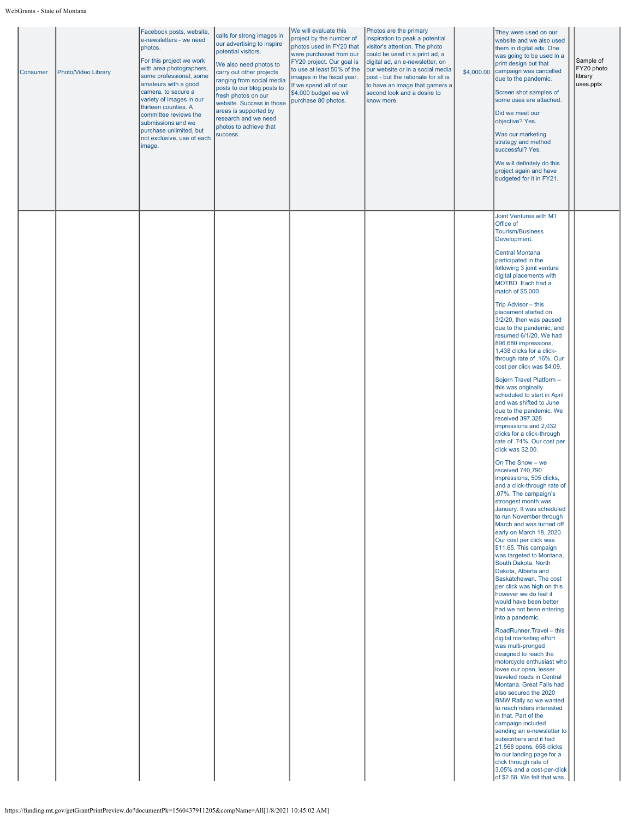| Consumer | Photo/Video Library | Facebook posts, website,<br>e-newsletters - we need<br>photos.<br>For this project we work<br>with area photographers,<br>some professional, some<br>amateurs with a good<br>camera, to secure a<br>variety of images in our<br>thirteen counties. A<br>committee reviews the<br>submissions and we<br>purchase unlimited, but<br>not exclusive, use of each<br>image. | calls for strong images in<br>our advertising to inspire<br>potential visitors.<br>We also need photos to<br>carry out other projects<br>ranging from social media<br>posts to our blog posts to<br>fresh photos on our<br>website. Success in those<br>areas is supported by<br>research and we need<br>photos to achieve that<br>success. | We will evaluate this<br>project by the number of<br>photos used in FY20 that<br>were purchased from our<br>FY20 project. Our goal is<br>to use at least 50% of the<br>images in the fiscal year.<br>If we spend all of our<br>\$4,000 budget we will<br>purchase 80 photos. | Photos are the primary<br>inspiration to peak a potential<br>visitor's attention. The photo<br>could be used in a print ad, a<br>digital ad, an e-newsletter, on<br>our website or in a social media<br>post - but the rationale for all is<br>to have an image that garners a<br>second look and a desire to<br>know more. | \$4,000.00 | They were used on our<br>website and we also used<br>them in digital ads. One<br>was going to be used in a<br>print design but that<br>campaign was cancelled<br>due to the pandemic.<br>Screen shot samples of<br>some uses are attached.<br>Did we meet our<br>objective? Yes.<br>Was our marketing<br>strategy and method<br>successful? Yes.<br>We will definitely do this<br>project again and have<br>budgeted for it in FY21.                                                                                                                                                                                                                                                                                                                                                                                                                                                                                                                                                                                                                                                                                                                                                                                                                                                                                                                                                                                                                                                                                                                                                                                                                                                                                                                                                                                                                                                 | Sample of<br>FY20 photo<br>library<br>uses.pptx |
|----------|---------------------|------------------------------------------------------------------------------------------------------------------------------------------------------------------------------------------------------------------------------------------------------------------------------------------------------------------------------------------------------------------------|---------------------------------------------------------------------------------------------------------------------------------------------------------------------------------------------------------------------------------------------------------------------------------------------------------------------------------------------|------------------------------------------------------------------------------------------------------------------------------------------------------------------------------------------------------------------------------------------------------------------------------|-----------------------------------------------------------------------------------------------------------------------------------------------------------------------------------------------------------------------------------------------------------------------------------------------------------------------------|------------|--------------------------------------------------------------------------------------------------------------------------------------------------------------------------------------------------------------------------------------------------------------------------------------------------------------------------------------------------------------------------------------------------------------------------------------------------------------------------------------------------------------------------------------------------------------------------------------------------------------------------------------------------------------------------------------------------------------------------------------------------------------------------------------------------------------------------------------------------------------------------------------------------------------------------------------------------------------------------------------------------------------------------------------------------------------------------------------------------------------------------------------------------------------------------------------------------------------------------------------------------------------------------------------------------------------------------------------------------------------------------------------------------------------------------------------------------------------------------------------------------------------------------------------------------------------------------------------------------------------------------------------------------------------------------------------------------------------------------------------------------------------------------------------------------------------------------------------------------------------------------------------|-------------------------------------------------|
|          |                     |                                                                                                                                                                                                                                                                                                                                                                        |                                                                                                                                                                                                                                                                                                                                             |                                                                                                                                                                                                                                                                              |                                                                                                                                                                                                                                                                                                                             |            | Joint Ventures with MT<br>Office of<br><b>Tourism/Business</b><br>Development.<br><b>Central Montana</b><br>participated in the<br>following 3 joint venture<br>digital placements with<br>MOTBD. Each had a<br>match of \$5,000.<br>Trip Advisor - this<br>placement started on<br>3/2/20, then was paused<br>due to the pandemic, and<br>resumed 6/1/20. We had<br>896,680 impressions,<br>1,438 clicks for a click-<br>through rate of .16%. Our<br>cost per click was \$4.09.<br>Sojern Travel Platform -<br>this was originally<br>scheduled to start in April<br>and was shifted to June<br>due to the pandemic. We<br>received 397.328<br>impressions and 2,032<br>clicks for a click-through<br>rate of .74%. Our cost per<br>click was \$2.00.<br>On The Snow - we<br>received 740,790<br>impressions, 505 clicks,<br>and a click-through rate of<br>.07%. The campaign's<br>strongest month was<br>January. It was scheduled<br>to run November through<br>March and was turned off<br>early on March 18, 2020.<br>Our cost per click was<br>\$11.65. This campaign<br>was targeted to Montana,<br>South Dakota, North<br>Dakota, Alberta and<br>Saskatchewan. The cost<br>per click was high on this<br>however we do feel it<br>would have been better<br>had we not been entering<br>into a pandemic.<br>RoadRunner.Travel - this<br>digital marketing effort<br>was multi-pronged<br>designed to reach the<br>motorcycle enthusiast who<br>loves our open, lesser<br>traveled roads in Central<br>Montana. Great Falls had<br>also secured the 2020<br><b>BMW Rally so we wanted</b><br>to reach riders interested<br>in that. Part of the<br>campaign included<br>sending an e-newsletter to<br>subscribers and it had<br>21,568 opens, 658 clicks<br>to our landing page for a<br>click through rate of<br>3.05% and a cost-per-click<br>of \$2.68. We felt that was |                                                 |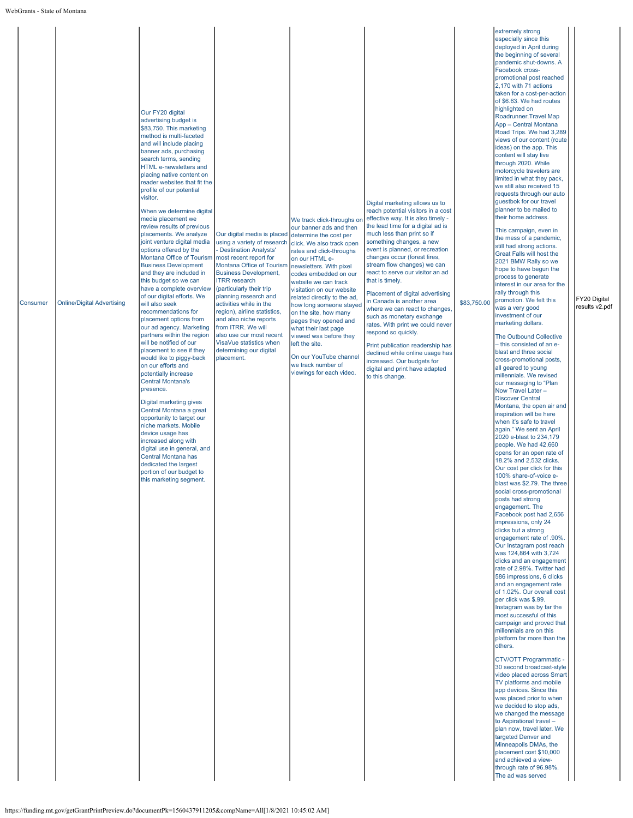| Consumer | <b>Online/Digital Advertising</b> | Our FY20 digital<br>advertising budget is<br>\$83,750. This marketing<br>method is multi-faceted<br>and will include placing<br>banner ads, purchasing<br>search terms, sending<br>HTML e-newsletters and<br>placing native content on<br>reader websites that fit the<br>profile of our potential<br>visitor.<br>When we determine digital<br>media placement we<br>review results of previous<br>placements. We analyze<br>joint venture digital media<br>options offered by the<br>Montana Office of Tourism<br><b>Business Development</b><br>and they are included in<br>this budget so we can<br>have a complete overview<br>of our digital efforts. We<br>will also seek<br>recommendations for<br>placement options from<br>our ad agency. Marketing<br>partners within the region<br>will be notified of our<br>placement to see if they<br>would like to piggy-back<br>on our efforts and<br>potentially increase<br><b>Central Montana's</b><br>presence.<br>Digital marketing gives<br>Central Montana a great<br>opportunity to target our<br>niche markets. Mobile<br>device usage has<br>increased along with<br>digital use in general, and<br>Central Montana has<br>dedicated the largest<br>portion of our budget to<br>this marketing segment. | Our digital media is placed<br>using a variety of research<br><b>Destination Analysts'</b><br>most recent report for<br>Montana Office of Tourism<br><b>Business Development,</b><br><b>ITRR</b> research<br>(particularly their trip<br>planning research and<br>activities while in the<br>region), airline statistics,<br>and also niche reports<br>from ITRR. We will<br>also use our most recent<br>VisaVue statistics when<br>determining our digital<br>placement. | We track click-throughs on<br>our banner ads and then<br>determine the cost per<br>click. We also track open<br>rates and click-throughs<br>on our HTML e-<br>newsletters. With pixel<br>codes embedded on our<br>website we can track<br>visitation on our website<br>related directly to the ad,<br>how long someone stayed<br>on the site, how many<br>pages they opened and<br>what their last page<br>viewed was before they<br>left the site.<br>On our YouTube channel<br>we track number of<br>viewings for each video. | Digital marketing allows us to<br>reach potential visitors in a cost<br>effective way. It is also timely -<br>the lead time for a digital ad is<br>much less than print so if<br>something changes, a new<br>event is planned, or recreation<br>changes occur (forest fires,<br>stream flow changes) we can<br>react to serve our visitor an ad<br>that is timely.<br>Placement of digital advertising<br>in Canada is another area<br>where we can react to changes,<br>such as monetary exchange<br>rates. With print we could never<br>respond so quickly.<br>Print publication readership has<br>declined while online usage has<br>increased. Our budgets for<br>digital and print have adapted<br>to this change. | \$83,750.00 | extremely strong<br>especially since this<br>deployed in April during<br>the beginning of several<br>pandemic shut-downs. A<br>Facebook cross-<br>promotional post reached<br>2,170 with 71 actions<br>taken for a cost-per-action<br>of \$6.63. We had routes<br>highlighted on<br>Roadrunner.Travel Map<br>App - Central Montana<br>Road Trips. We had 3,289<br>views of our content (route<br>ideas) on the app. This<br>content will stay live<br>through 2020. While<br>motorcycle travelers are<br>limited in what they pack,<br>we still also received 15<br>requests through our auto<br>guestbok for our travel<br>planner to be mailed to<br>their home address.<br>This campaign, even in<br>the mess of a pandemic,<br>still had strong actions.<br>Great Falls will host the<br>2021 BMW Rally so we<br>hope to have begun the<br>process to generate<br>interest in our area for the<br>rally through this<br>promotion. We felt this<br>was a very good<br>investment of our<br>marketing dollars.<br>The Outbound Collective<br>- this consisted of an e-<br>blast and three social<br>cross-promotional posts,<br>all geared to young<br>millennials. We revised<br>our messaging to "Plan<br>Now Travel Later -<br><b>Discover Central</b><br>Montana, the open air and<br>inspiration will be here<br>when it's safe to travel<br>again." We sent an April<br>2020 e-blast to 234,179<br>people. We had 42,660<br>opens for an open rate of<br>18.2% and 2,532 clicks.<br>Our cost per click for this<br>100% share-of-voice e-<br>blast was \$2.79. The three<br>social cross-promotional<br>posts had strong<br>engagement. The<br>Facebook post had 2,656<br>impressions, only 24<br>clicks but a strong<br>engagement rate of .90%.<br>Our Instagram post reach<br>was 124,864 with 3,724<br>clicks and an engagement<br>rate of 2.98%. Twitter had<br>586 impressions, 6 clicks<br>and an engagement rate<br>of 1.02%. Our overall cost<br>per click was \$.99.<br>Instagram was by far the<br>most successful of this<br>campaign and proved that<br>millennials are on this<br>platform far more than the<br>others.<br>CTV/OTT Programmatic -<br>30 second broadcast-style<br>video placed across Smart<br>TV platforms and mobile<br>app devices. Since this<br>was placed prior to when<br>we decided to stop ads,<br>we changed the message<br>to Aspirational travel -<br>plan now, travel later. We<br>targeted Denver and<br>Minneapolis DMAs, the<br>placement cost \$10,000<br>and achieved a view-<br>through rate of 96.98%.<br>The ad was served | FY20 Digital<br>results v2.pdf |
|----------|-----------------------------------|--------------------------------------------------------------------------------------------------------------------------------------------------------------------------------------------------------------------------------------------------------------------------------------------------------------------------------------------------------------------------------------------------------------------------------------------------------------------------------------------------------------------------------------------------------------------------------------------------------------------------------------------------------------------------------------------------------------------------------------------------------------------------------------------------------------------------------------------------------------------------------------------------------------------------------------------------------------------------------------------------------------------------------------------------------------------------------------------------------------------------------------------------------------------------------------------------------------------------------------------------------------------|---------------------------------------------------------------------------------------------------------------------------------------------------------------------------------------------------------------------------------------------------------------------------------------------------------------------------------------------------------------------------------------------------------------------------------------------------------------------------|---------------------------------------------------------------------------------------------------------------------------------------------------------------------------------------------------------------------------------------------------------------------------------------------------------------------------------------------------------------------------------------------------------------------------------------------------------------------------------------------------------------------------------|-------------------------------------------------------------------------------------------------------------------------------------------------------------------------------------------------------------------------------------------------------------------------------------------------------------------------------------------------------------------------------------------------------------------------------------------------------------------------------------------------------------------------------------------------------------------------------------------------------------------------------------------------------------------------------------------------------------------------|-------------|----------------------------------------------------------------------------------------------------------------------------------------------------------------------------------------------------------------------------------------------------------------------------------------------------------------------------------------------------------------------------------------------------------------------------------------------------------------------------------------------------------------------------------------------------------------------------------------------------------------------------------------------------------------------------------------------------------------------------------------------------------------------------------------------------------------------------------------------------------------------------------------------------------------------------------------------------------------------------------------------------------------------------------------------------------------------------------------------------------------------------------------------------------------------------------------------------------------------------------------------------------------------------------------------------------------------------------------------------------------------------------------------------------------------------------------------------------------------------------------------------------------------------------------------------------------------------------------------------------------------------------------------------------------------------------------------------------------------------------------------------------------------------------------------------------------------------------------------------------------------------------------------------------------------------------------------------------------------------------------------------------------------------------------------------------------------------------------------------------------------------------------------------------------------------------------------------------------------------------------------------------------------------------------------------------------------------------------------------------------------------------------------------------------------------------------------------------------------------------------------------------------------------------------------------------------------------------------|--------------------------------|
|----------|-----------------------------------|--------------------------------------------------------------------------------------------------------------------------------------------------------------------------------------------------------------------------------------------------------------------------------------------------------------------------------------------------------------------------------------------------------------------------------------------------------------------------------------------------------------------------------------------------------------------------------------------------------------------------------------------------------------------------------------------------------------------------------------------------------------------------------------------------------------------------------------------------------------------------------------------------------------------------------------------------------------------------------------------------------------------------------------------------------------------------------------------------------------------------------------------------------------------------------------------------------------------------------------------------------------------|---------------------------------------------------------------------------------------------------------------------------------------------------------------------------------------------------------------------------------------------------------------------------------------------------------------------------------------------------------------------------------------------------------------------------------------------------------------------------|---------------------------------------------------------------------------------------------------------------------------------------------------------------------------------------------------------------------------------------------------------------------------------------------------------------------------------------------------------------------------------------------------------------------------------------------------------------------------------------------------------------------------------|-------------------------------------------------------------------------------------------------------------------------------------------------------------------------------------------------------------------------------------------------------------------------------------------------------------------------------------------------------------------------------------------------------------------------------------------------------------------------------------------------------------------------------------------------------------------------------------------------------------------------------------------------------------------------------------------------------------------------|-------------|----------------------------------------------------------------------------------------------------------------------------------------------------------------------------------------------------------------------------------------------------------------------------------------------------------------------------------------------------------------------------------------------------------------------------------------------------------------------------------------------------------------------------------------------------------------------------------------------------------------------------------------------------------------------------------------------------------------------------------------------------------------------------------------------------------------------------------------------------------------------------------------------------------------------------------------------------------------------------------------------------------------------------------------------------------------------------------------------------------------------------------------------------------------------------------------------------------------------------------------------------------------------------------------------------------------------------------------------------------------------------------------------------------------------------------------------------------------------------------------------------------------------------------------------------------------------------------------------------------------------------------------------------------------------------------------------------------------------------------------------------------------------------------------------------------------------------------------------------------------------------------------------------------------------------------------------------------------------------------------------------------------------------------------------------------------------------------------------------------------------------------------------------------------------------------------------------------------------------------------------------------------------------------------------------------------------------------------------------------------------------------------------------------------------------------------------------------------------------------------------------------------------------------------------------------------------------------------|--------------------------------|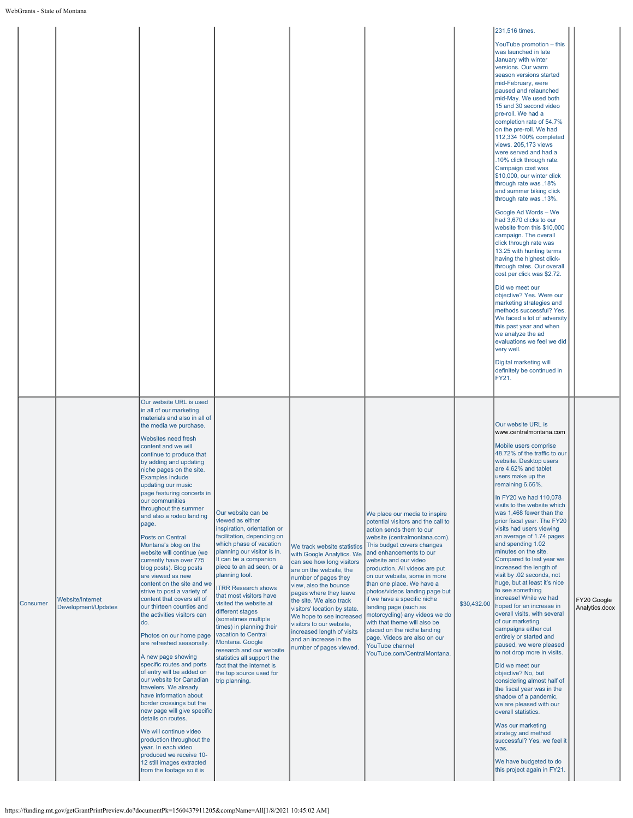|          |                                         |                                                                                                                                                                                                                                                                                                                                                                                                                                                                                                                                                                                                                                                                                                                                                                                                                                                                                                                                                                                                                                                                                                                                                                                                                   |                                                                                                                                                                                                                                                                                                                                                                                                                                                                                                                                                                               |                                                                                                                                                                                                                                                                                                                                                                                                   |                                                                                                                                                                                                                                                                                                                                                                                                                                                                                                                                                                                                |             | 231,516 times.<br>YouTube promotion - this<br>was launched in late<br>January with winter<br>versions. Our warm<br>season versions started<br>mid-February, were<br>paused and relaunched<br>mid-May. We used both<br>15 and 30 second video<br>pre-roll. We had a<br>completion rate of 54.7%<br>on the pre-roll. We had<br>112,334 100% completed<br>views. 205,173 views<br>were served and had a<br>.10% click through rate.<br>Campaign cost was<br>\$10,000, our winter click<br>through rate was .18%<br>and summer biking click<br>through rate was .13%.<br>Google Ad Words - We<br>had 3,670 clicks to our<br>website from this \$10,000<br>campaign. The overall<br>click through rate was<br>13.25 with hunting terms<br>having the highest click-<br>through rates. Our overall<br>cost per click was \$2.72.<br>Did we meet our<br>objective? Yes. Were our<br>marketing strategies and<br>methods successful? Yes.<br>We faced a lot of adversity<br>this past year and when<br>we analyze the ad<br>evaluations we feel we did<br>very well.<br>Digital marketing will<br>definitely be continued in<br>FY21. |                               |
|----------|-----------------------------------------|-------------------------------------------------------------------------------------------------------------------------------------------------------------------------------------------------------------------------------------------------------------------------------------------------------------------------------------------------------------------------------------------------------------------------------------------------------------------------------------------------------------------------------------------------------------------------------------------------------------------------------------------------------------------------------------------------------------------------------------------------------------------------------------------------------------------------------------------------------------------------------------------------------------------------------------------------------------------------------------------------------------------------------------------------------------------------------------------------------------------------------------------------------------------------------------------------------------------|-------------------------------------------------------------------------------------------------------------------------------------------------------------------------------------------------------------------------------------------------------------------------------------------------------------------------------------------------------------------------------------------------------------------------------------------------------------------------------------------------------------------------------------------------------------------------------|---------------------------------------------------------------------------------------------------------------------------------------------------------------------------------------------------------------------------------------------------------------------------------------------------------------------------------------------------------------------------------------------------|------------------------------------------------------------------------------------------------------------------------------------------------------------------------------------------------------------------------------------------------------------------------------------------------------------------------------------------------------------------------------------------------------------------------------------------------------------------------------------------------------------------------------------------------------------------------------------------------|-------------|-------------------------------------------------------------------------------------------------------------------------------------------------------------------------------------------------------------------------------------------------------------------------------------------------------------------------------------------------------------------------------------------------------------------------------------------------------------------------------------------------------------------------------------------------------------------------------------------------------------------------------------------------------------------------------------------------------------------------------------------------------------------------------------------------------------------------------------------------------------------------------------------------------------------------------------------------------------------------------------------------------------------------------------------------------------------------------------------------------------------------------|-------------------------------|
| Consumer | Website/Internet<br>Development/Updates | Our website URL is used<br>in all of our marketing<br>materials and also in all of<br>the media we purchase.<br>Websites need fresh<br>content and we will<br>continue to produce that<br>by adding and updating<br>niche pages on the site.<br><b>Examples include</b><br>updating our music<br>page featuring concerts in<br>our communities<br>throughout the summer<br>and also a rodeo landing<br>page.<br><b>Posts on Central</b><br>Montana's blog on the<br>website will continue (we<br>currently have over 775<br>blog posts). Blog posts<br>are viewed as new<br>content on the site and we<br>strive to post a variety of<br>content that covers all of<br>our thirteen counties and<br>the activities visitors can<br>do.<br>Photos on our home page<br>are refreshed seasonally.<br>A new page showing<br>specific routes and ports<br>of entry will be added on<br>our website for Canadian<br>travelers. We already<br>have information about<br>border crossings but the<br>new page will give specific<br>details on routes.<br>We will continue video<br>production throughout the<br>year. In each video<br>produced we receive 10-<br>12 still images extracted<br>from the footage so it is | Our website can be<br>viewed as either<br>inspiration, orientation or<br>facilitation, depending on<br>which phase of vacation<br>planning our visitor is in.<br>It can be a companion<br>piece to an ad seen, or a<br>planning tool.<br><b>ITRR Research shows</b><br>that most visitors have<br>visited the website at<br>different stages<br>(sometimes multiple<br>times) in planning their<br>vacation to Central<br>Montana. Google<br>research and our website<br>statistics all support the<br>fact that the internet is<br>the top source used for<br>trip planning. | We track website statistics<br>with Google Analytics. We<br>can see how long visitors<br>are on the website, the<br>number of pages they<br>view, also the bounce<br>pages where they leave<br>the site. We also track<br>visitors' location by state.<br>We hope to see increased<br>visitors to our website,<br>increased length of visits<br>and an increase in the<br>number of pages viewed. | We place our media to inspire<br>potential visitors and the call to<br>action sends them to our<br>website (centralmontana.com).<br>This budget covers changes<br>and enhancements to our<br>website and our video<br>production. All videos are put<br>on our website, some in more<br>than one place. We have a<br>photos/videos landing page but<br>if we have a specific niche<br>landing page (such as<br>motorcycling) any videos we do<br>with that theme will also be<br>placed on the niche landing<br>page. Videos are also on our<br>YouTube channel<br>YouTube.com/CentralMontana. | \$30,432.00 | Our website URL is<br>www.centralmontana.com<br>Mobile users comprise<br>48.72% of the traffic to our<br>website. Desktop users<br>are 4.62% and tablet<br>users make up the<br>remaining 6.66%.<br>In FY20 we had 110,078<br>visits to the website which<br>was 1,468 fewer than the<br>prior fiscal year. The FY20<br>visits had users viewing<br>an average of 1.74 pages<br>and spending 1.02<br>minutes on the site.<br>Compared to last year we<br>increased the length of<br>visit by .02 seconds, not<br>huge, but at least it's nice<br>to see something<br>increase! While we had<br>hoped for an increase in<br>overall visits, with several<br>of our marketing<br>campaigns either cut<br>entirely or started and<br>paused, we were pleased<br>to not drop more in visits.<br>Did we meet our<br>objective? No, but<br>considering almost half of<br>the fiscal year was in the<br>shadow of a pandemic,<br>we are pleased with our<br>overall statistics.<br>Was our marketing<br>strategy and method<br>successful? Yes, we feel it<br>was.<br>We have budgeted to do<br>this project again in FY21.          | FY20 Google<br>Analytics.docx |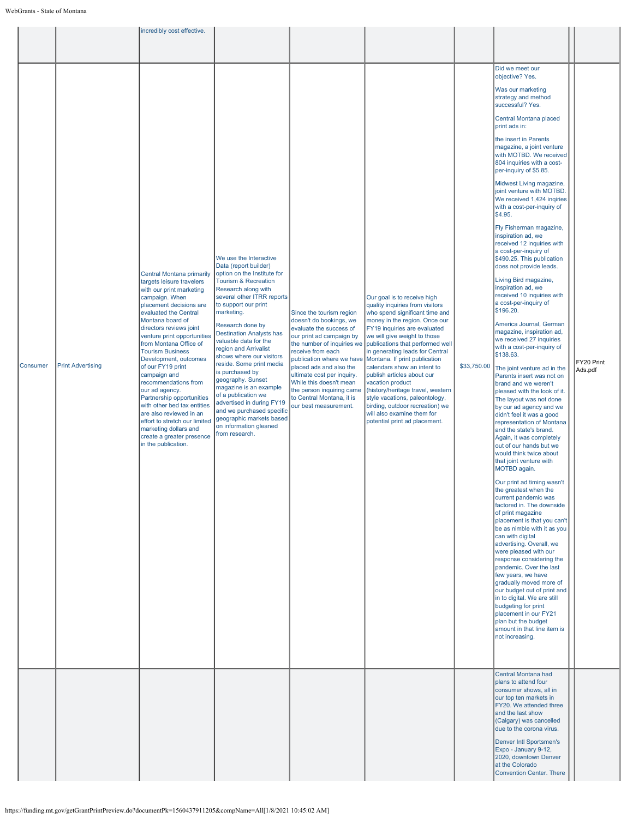|                                      | incredibly cost effective.                                                                                                                                                                                                                                                                                                                                                                                                                                                                                                                                                                               |                                                                                                                                                                                                                                                                                                                                                                                                                                                                                                                                                                                                          |                                                                                                                                                                                                                                                                                                                                                                   |                                                                                                                                                                                                                                                                                                                                                                                                                                                                                                                                                                     |             |                                                                                                                                                                                                                                                                                                                                                                                                                                                                                                                                                                                                                                                                                                                                                                                                                                                                                                                                                                                                                                                                                                                                                                                                                                                                                                                                                                                                                                                                                                                                                                                                                                                                                                                                                                                                                                                                                                                                                                |                       |
|--------------------------------------|----------------------------------------------------------------------------------------------------------------------------------------------------------------------------------------------------------------------------------------------------------------------------------------------------------------------------------------------------------------------------------------------------------------------------------------------------------------------------------------------------------------------------------------------------------------------------------------------------------|----------------------------------------------------------------------------------------------------------------------------------------------------------------------------------------------------------------------------------------------------------------------------------------------------------------------------------------------------------------------------------------------------------------------------------------------------------------------------------------------------------------------------------------------------------------------------------------------------------|-------------------------------------------------------------------------------------------------------------------------------------------------------------------------------------------------------------------------------------------------------------------------------------------------------------------------------------------------------------------|---------------------------------------------------------------------------------------------------------------------------------------------------------------------------------------------------------------------------------------------------------------------------------------------------------------------------------------------------------------------------------------------------------------------------------------------------------------------------------------------------------------------------------------------------------------------|-------------|----------------------------------------------------------------------------------------------------------------------------------------------------------------------------------------------------------------------------------------------------------------------------------------------------------------------------------------------------------------------------------------------------------------------------------------------------------------------------------------------------------------------------------------------------------------------------------------------------------------------------------------------------------------------------------------------------------------------------------------------------------------------------------------------------------------------------------------------------------------------------------------------------------------------------------------------------------------------------------------------------------------------------------------------------------------------------------------------------------------------------------------------------------------------------------------------------------------------------------------------------------------------------------------------------------------------------------------------------------------------------------------------------------------------------------------------------------------------------------------------------------------------------------------------------------------------------------------------------------------------------------------------------------------------------------------------------------------------------------------------------------------------------------------------------------------------------------------------------------------------------------------------------------------------------------------------------------------|-----------------------|
|                                      |                                                                                                                                                                                                                                                                                                                                                                                                                                                                                                                                                                                                          |                                                                                                                                                                                                                                                                                                                                                                                                                                                                                                                                                                                                          |                                                                                                                                                                                                                                                                                                                                                                   |                                                                                                                                                                                                                                                                                                                                                                                                                                                                                                                                                                     |             |                                                                                                                                                                                                                                                                                                                                                                                                                                                                                                                                                                                                                                                                                                                                                                                                                                                                                                                                                                                                                                                                                                                                                                                                                                                                                                                                                                                                                                                                                                                                                                                                                                                                                                                                                                                                                                                                                                                                                                |                       |
| Consumer<br><b>Print Advertising</b> | Central Montana primarily<br>targets leisure travelers<br>with our print marketing<br>campaign. When<br>placement decisions are<br>evaluated the Central<br>Montana board of<br>directors reviews joint<br>venture print opportunities<br>from Montana Office of<br><b>Tourism Business</b><br>Development, outcomes<br>of our FY19 print<br>campaign and<br>recommendations from<br>our ad agency.<br>Partnership opportunities<br>with other bed tax entities<br>are also reviewed in an<br>effort to stretch our limited<br>marketing dollars and<br>create a greater presence<br>in the publication. | We use the Interactive<br>Data (report builder)<br>option on the Institute for<br><b>Tourism &amp; Recreation</b><br>Research along with<br>several other ITRR reports<br>to support our print<br>marketing.<br>Research done by<br><b>Destination Analysts has</b><br>valuable data for the<br>region and Arrivalist<br>shows where our visitors<br>reside. Some print media<br>is purchased by<br>geography. Sunset<br>magazine is an example<br>of a publication we<br>advertised in during FY19<br>and we purchased specific<br>geographic markets based<br>on information gleaned<br>from research. | Since the tourism region<br>doesn't do bookings, we<br>evaluate the success of<br>our print ad campaign by<br>the number of inquiries we<br>receive from each<br>publication where we have<br>placed ads and also the<br>ultimate cost per inquiry.<br>While this doesn't mean<br>the person inquiring came<br>to Central Montana, it is<br>our best measurement. | Our goal is to receive high<br>quality inquiries from visitors<br>who spend significant time and<br>money in the region. Once our<br>FY19 inquiries are evaluated<br>we will give weight to those<br>publications that performed well<br>in generating leads for Central<br>Montana. If print publication<br>calendars show an intent to<br>publish articles about our<br>vacation product<br>(history/heritage travel, western<br>style vacations, paleontology,<br>birding, outdoor recreation) we<br>will also examine them for<br>potential print ad placement. | \$33,750.00 | Did we meet our<br>objective? Yes.<br>Was our marketing<br>strategy and method<br>successful? Yes.<br>Central Montana placed<br>print ads in:<br>the insert in Parents<br>magazine, a joint venture<br>with MOTBD. We received<br>804 inquiries with a cost-<br>per-inquiry of \$5.85.<br>Midwest Living magazine,<br>joint venture with MOTBD.<br>We received 1,424 inqiries<br>with a cost-per-inquiry of<br>\$4.95.<br>Fly Fisherman magazine,<br>inspiration ad, we<br>received 12 inquiries with<br>a cost-per-inquiry of<br>\$490.25. This publication<br>does not provide leads.<br>Living Bird magazine,<br>inspiration ad, we<br>received 10 inquiries with<br>a cost-per-inquiry of<br>\$196.20.<br>America Journal, German<br>magazine, inspiration ad,<br>we received 27 inquiries<br>with a cost-per-inquiry of<br>\$138.63.<br>The joint venture ad in the<br>Parents insert was not on<br>brand and we weren't<br>pleased with the look of it.<br>The layout was not done<br>by our ad agency and we<br>didn't feel it was a good<br>representation of Montana<br>and the state's brand.<br>Again, it was completely<br>out of our hands but we<br>would think twice about<br>that joint venture with<br>MOTBD again.<br>Our print ad timing wasn't<br>the greatest when the<br>current pandemic was<br>factored in. The downside<br>of print magazine<br>placement is that you can't<br>be as nimble with it as you<br>can with digital<br>advertising. Overall, we<br>were pleased with our<br>response considering the<br>pandemic. Over the last<br>few years, we have<br>gradually moved more of<br>our budget out of print and<br>in to digital. We are still<br>budgeting for print<br>placement in our FY21<br>plan but the budget<br>amount in that line item is<br>not increasing.<br>Central Montana had<br>plans to attend four<br>consumer shows, all in<br>our top ten markets in<br>FY20. We attended three<br>and the last show | FY20 Print<br>Ads.pdf |
|                                      |                                                                                                                                                                                                                                                                                                                                                                                                                                                                                                                                                                                                          |                                                                                                                                                                                                                                                                                                                                                                                                                                                                                                                                                                                                          |                                                                                                                                                                                                                                                                                                                                                                   |                                                                                                                                                                                                                                                                                                                                                                                                                                                                                                                                                                     |             | (Calgary) was cancelled<br>due to the corona virus.<br>Denver Intl Sportsmen's<br>Expo - January 9-12,                                                                                                                                                                                                                                                                                                                                                                                                                                                                                                                                                                                                                                                                                                                                                                                                                                                                                                                                                                                                                                                                                                                                                                                                                                                                                                                                                                                                                                                                                                                                                                                                                                                                                                                                                                                                                                                         |                       |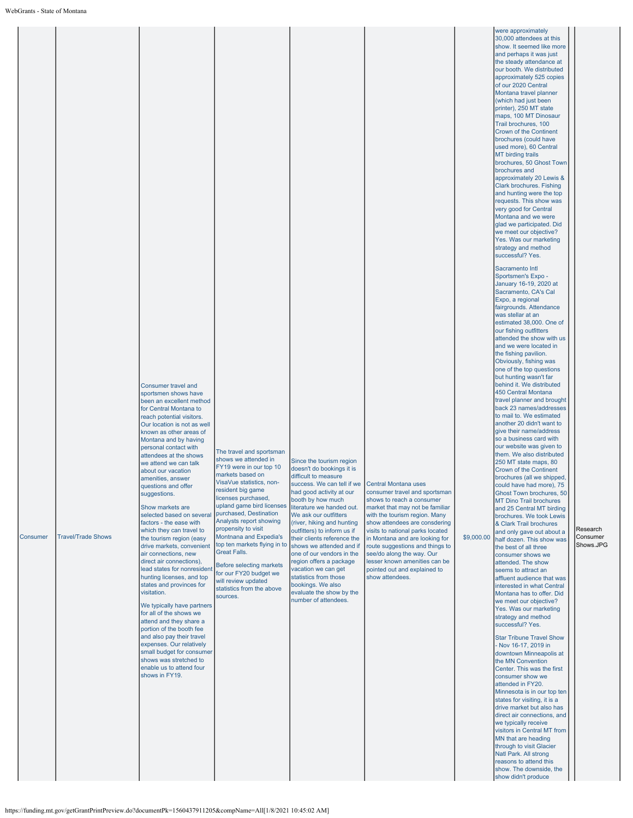| Consumer | <b>Travel/Trade Shows</b> | <b>Consumer travel and</b><br>sportsmen shows have<br>been an excellent method<br>for Central Montana to<br>reach potential visitors.<br>Our location is not as well<br>known as other areas of<br>Montana and by having<br>personal contact with<br>attendees at the shows<br>we attend we can talk<br>about our vacation<br>amenities, answer<br>questions and offer<br>suggestions.<br>Show markets are<br>selected based on several<br>factors - the ease with<br>which they can travel to<br>the tourism region (easy<br>drive markets, convenient<br>air connections, new<br>direct air connections),<br>lead states for nonresident<br>hunting licenses, and top<br>states and provinces for<br>visitation.<br>We typically have partners<br>for all of the shows we<br>attend and they share a<br>portion of the booth fee<br>and also pay their travel<br>expenses. Our relatively<br>small budget for consumer<br>shows was stretched to<br>enable us to attend four<br>shows in FY19. | The travel and sportsman<br>shows we attended in<br>FY19 were in our top 10<br>markets based on<br>VisaVue statistics, non-<br>resident big game<br>licenses purchased,<br>upland game bird licenses<br>purchased, Destination<br>Analysts report showing<br>propensity to visit<br>Montnana and Expedia's<br>top ten markets flying in to<br><b>Great Falls.</b><br>Before selecting markets<br>for our FY20 budget we<br>will review updated<br>statistics from the above<br>sources. | Since the tourism region<br>doesn't do bookings it is<br>difficult to measure<br>success. We can tell if we<br>had good activity at our<br>booth by how much<br>literature we handed out.<br>We ask our outfitters<br>(river, hiking and hunting<br>outfitters) to inform us if<br>their clients reference the<br>shows we attended and if<br>one of our vendors in the<br>region offers a package<br>vacation we can get<br>statistics from those<br>bookings. We also<br>evaluate the show by the<br>number of attendees. | Central Montana uses<br>consumer travel and sportsman<br>shows to reach a consumer<br>market that may not be familiar<br>with the tourism region. Many<br>show attendees are consdering<br>visits to national parks located<br>in Montana and are looking for<br>route suggestions and things to<br>see/do along the way. Our<br>lesser known amenities can be<br>pointed out and explained to<br>show attendees. | \$9,000.00 | were approximately<br>30,000 attendees at this<br>show. It seemed like more<br>and perhaps it was just<br>the steady attendance at<br>our booth. We distributed<br>approximately 525 copies<br>of our 2020 Central<br>Montana travel planner<br>(which had just been<br>printer), 250 MT state<br>maps, 100 MT Dinosaur<br>Trail brochures, 100<br>Crown of the Continent<br>brochures (could have<br>used more), 60 Central<br>MT birding trails<br>brochures, 50 Ghost Town<br>brochures and<br>approximately 20 Lewis &<br>Clark brochures. Fishing<br>and hunting were the top<br>requests. This show was<br>very good for Central<br>Montana and we were<br>glad we participated. Did<br>we meet our objective?<br>Yes. Was our marketing<br>strategy and method<br>successful? Yes.<br>Sacramento Intl<br>Sportsmen's Expo -<br>January 16-19, 2020 at<br>Sacramento, CA's Cal<br>Expo, a regional<br>fairgrounds. Attendance<br>was stellar at an<br>estimated 38,000. One of<br>our fishing outfitters<br>attended the show with us<br>and we were located in<br>the fishing pavilion.<br>Obviously, fishing was<br>one of the top questions<br>but hunting wasn't far<br>behind it. We distributed<br>450 Central Montana<br>travel planner and brought<br>back 23 names/addresses<br>to mail to. We estimated<br>another 20 didn't want to<br>give their name/address<br>so a business card with<br>our website was given to<br>them. We also distributed<br>250 MT state maps, 80<br>Crown of the Continent<br>brochures (all we shipped,<br>could have had more), 75<br>Ghost Town brochures, 50<br>MT Dino Trail brochures<br>and 25 Central MT birding<br>brochures. We took Lewis<br>& Clark Trail brochures<br>and only gave out about a<br>half dozen. This show was<br>the best of all three<br>consumer shows we<br>attended. The show<br>seems to attract an<br>affluent audience that was<br>interested in what Central<br>Montana has to offer. Did<br>we meet our objective?<br>Yes. Was our marketing<br>strategy and method<br>successful? Yes.<br><b>Star Tribune Travel Show</b><br>- Nov 16-17, 2019 in<br>downtown Minneapolis at<br>the MN Convention<br>Center. This was the first<br>consumer show we<br>attended in FY20.<br>Minnesota is in our top ten<br>states for visiting, it is a<br>drive market but also has<br>direct air connections, and<br>we typically receive<br>visitors in Central MT from<br>MN that are heading<br>through to visit Glacier<br>Natl Park. All strong<br>reasons to attend this<br>show. The downside, the<br>show didn't produce | Research<br>Consumer<br>Shows.JPG |
|----------|---------------------------|--------------------------------------------------------------------------------------------------------------------------------------------------------------------------------------------------------------------------------------------------------------------------------------------------------------------------------------------------------------------------------------------------------------------------------------------------------------------------------------------------------------------------------------------------------------------------------------------------------------------------------------------------------------------------------------------------------------------------------------------------------------------------------------------------------------------------------------------------------------------------------------------------------------------------------------------------------------------------------------------------|-----------------------------------------------------------------------------------------------------------------------------------------------------------------------------------------------------------------------------------------------------------------------------------------------------------------------------------------------------------------------------------------------------------------------------------------------------------------------------------------|-----------------------------------------------------------------------------------------------------------------------------------------------------------------------------------------------------------------------------------------------------------------------------------------------------------------------------------------------------------------------------------------------------------------------------------------------------------------------------------------------------------------------------|-------------------------------------------------------------------------------------------------------------------------------------------------------------------------------------------------------------------------------------------------------------------------------------------------------------------------------------------------------------------------------------------------------------------|------------|------------------------------------------------------------------------------------------------------------------------------------------------------------------------------------------------------------------------------------------------------------------------------------------------------------------------------------------------------------------------------------------------------------------------------------------------------------------------------------------------------------------------------------------------------------------------------------------------------------------------------------------------------------------------------------------------------------------------------------------------------------------------------------------------------------------------------------------------------------------------------------------------------------------------------------------------------------------------------------------------------------------------------------------------------------------------------------------------------------------------------------------------------------------------------------------------------------------------------------------------------------------------------------------------------------------------------------------------------------------------------------------------------------------------------------------------------------------------------------------------------------------------------------------------------------------------------------------------------------------------------------------------------------------------------------------------------------------------------------------------------------------------------------------------------------------------------------------------------------------------------------------------------------------------------------------------------------------------------------------------------------------------------------------------------------------------------------------------------------------------------------------------------------------------------------------------------------------------------------------------------------------------------------------------------------------------------------------------------------------------------------------------------------------------------------------------------------------------------------------------------------------------------------------------------------------------------------------------------|-----------------------------------|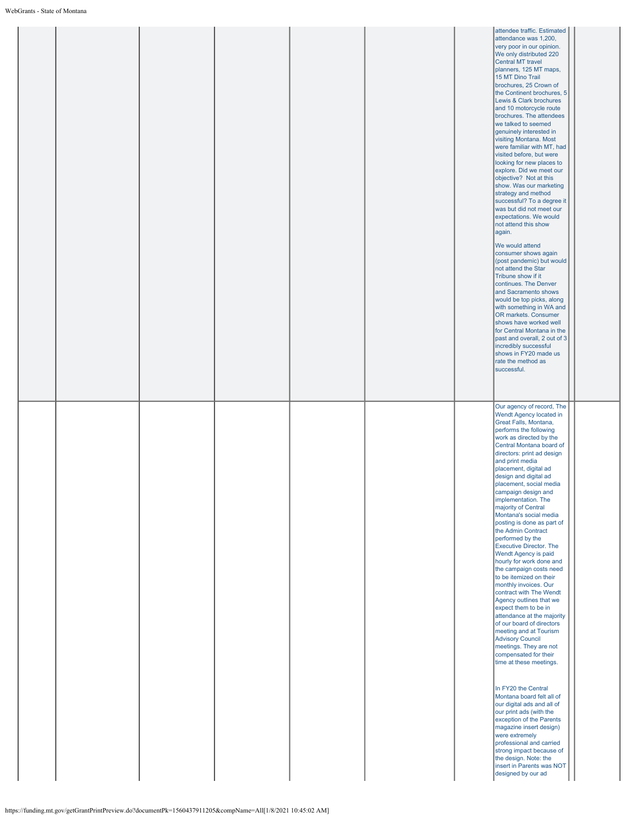|  |  |  | attendee traffic. Estimated<br>attendance was 1,200,<br>very poor in our opinion.<br>We only distributed 220<br><b>Central MT travel</b><br>planners, 125 MT maps,<br>15 MT Dino Trail<br>brochures, 25 Crown of<br>the Continent brochures, 5<br>Lewis & Clark brochures<br>and 10 motorcycle route<br>brochures. The attendees<br>we talked to seemed<br>genuinely interested in<br>visiting Montana. Most<br>were familiar with MT, had<br>visited before, but were<br>looking for new places to<br>explore. Did we meet our<br>objective? Not at this<br>show. Was our marketing<br>strategy and method<br>successful? To a degree it<br>was but did not meet our<br>expectations. We would<br>not attend this show<br>again.<br>We would attend<br>consumer shows again<br>(post pandemic) but would<br>not attend the Star<br>Tribune show if it<br>continues. The Denver<br>and Sacramento shows<br>would be top picks, along<br>with something in WA and<br>OR markets. Consumer<br>shows have worked well<br>for Central Montana in the<br>past and overall, 2 out of 3<br>incredibly successful<br>shows in FY20 made us<br>rate the method as<br>successful.                                                                 |  |
|--|--|--|-----------------------------------------------------------------------------------------------------------------------------------------------------------------------------------------------------------------------------------------------------------------------------------------------------------------------------------------------------------------------------------------------------------------------------------------------------------------------------------------------------------------------------------------------------------------------------------------------------------------------------------------------------------------------------------------------------------------------------------------------------------------------------------------------------------------------------------------------------------------------------------------------------------------------------------------------------------------------------------------------------------------------------------------------------------------------------------------------------------------------------------------------------------------------------------------------------------------------------------------|--|
|  |  |  | Our agency of record, The<br>Wendt Agency located in<br>Great Falls, Montana,<br>performs the following<br>work as directed by the<br>Central Montana board of<br>directors: print ad design<br>and print media<br>placement, digital ad<br>design and digital ad<br>placement, social media<br>campaign design and<br>implementation. The<br>majority of Central<br>Montana's social media<br>posting is done as part of<br>the Admin Contract<br>performed by the<br>Executive Director. The<br>Wendt Agency is paid<br>hourly for work done and<br>the campaign costs need<br>to be itemized on their<br>monthly invoices. Our<br>contract with The Wendt<br>Agency outlines that we<br>expect them to be in<br>attendance at the majority<br>of our board of directors<br>meeting and at Tourism<br><b>Advisory Council</b><br>meetings. They are not<br>compensated for their<br>time at these meetings.<br>In FY20 the Central<br>Montana board felt all of<br>our digital ads and all of<br>our print ads (with the<br>exception of the Parents<br>magazine insert design)<br>were extremely<br>professional and carried<br>strong impact because of<br>the design. Note: the<br>insert in Parents was NOT<br>designed by our ad |  |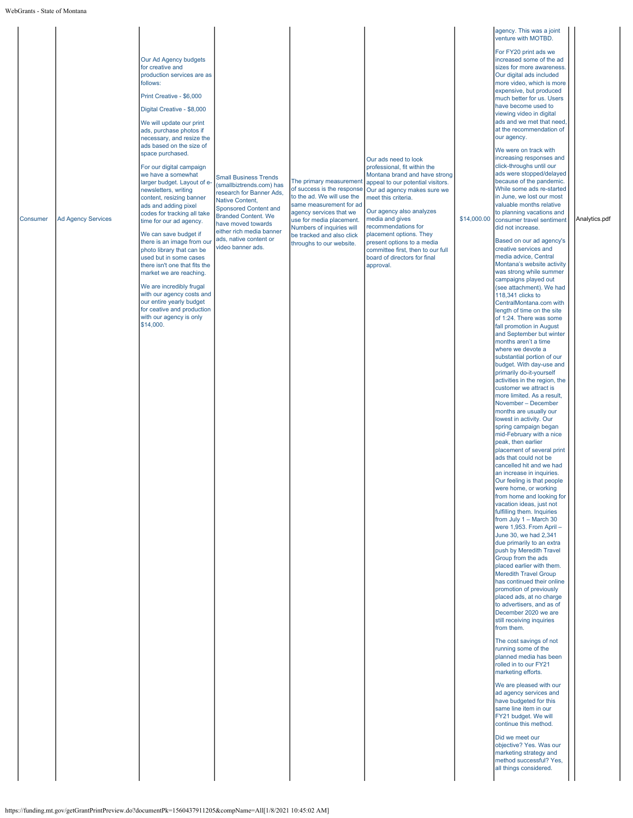|          |                           |                                                                                                                                                                                                                                                                                                          |                                                                                                                                                                                                                                                   |                                                                                                                                                                                                                                 |                                                                                                                                                                                                                                                                                   |             | agency. This was a joint<br>venture with MOTBD.                                                                                                                                                                                                                                                                                                                                                             |               |
|----------|---------------------------|----------------------------------------------------------------------------------------------------------------------------------------------------------------------------------------------------------------------------------------------------------------------------------------------------------|---------------------------------------------------------------------------------------------------------------------------------------------------------------------------------------------------------------------------------------------------|---------------------------------------------------------------------------------------------------------------------------------------------------------------------------------------------------------------------------------|-----------------------------------------------------------------------------------------------------------------------------------------------------------------------------------------------------------------------------------------------------------------------------------|-------------|-------------------------------------------------------------------------------------------------------------------------------------------------------------------------------------------------------------------------------------------------------------------------------------------------------------------------------------------------------------------------------------------------------------|---------------|
|          |                           | Our Ad Agency budgets<br>for creative and<br>production services are as<br>follows:<br>Print Creative - \$6,000<br>Digital Creative - \$8,000<br>We will update our print<br>ads, purchase photos if<br>necessary, and resize the                                                                        |                                                                                                                                                                                                                                                   |                                                                                                                                                                                                                                 |                                                                                                                                                                                                                                                                                   |             | For FY20 print ads we<br>increased some of the ad<br>sizes for more awareness<br>Our digital ads included<br>more video, which is more<br>expensive, but produced<br>much better for us. Users<br>have become used to<br>viewing video in digital<br>ads and we met that need,<br>at the recommendation of<br>our agency.                                                                                   |               |
| Consumer | <b>Ad Agency Services</b> | ads based on the size of<br>space purchased.<br>For our digital campaign<br>we have a somewhat<br>larger budget. Layout of e-<br>newsletters, writing<br>content, resizing banner<br>ads and adding pixel<br>codes for tracking all take<br>time for our ad agency.<br>We can save budget if             | <b>Small Business Trends</b><br>(smallbiztrends.com) has<br>research for Banner Ads,<br>Native Content,<br><b>Sponsored Content and</b><br><b>Branded Content. We</b><br>have moved towards<br>either rich media banner<br>ads, native content or | The primary measurement<br>of success is the response<br>to the ad. We will use the<br>same measurement for ad<br>agency services that we<br>use for media placement.<br>Numbers of inquiries will<br>be tracked and also click | Our ads need to look<br>professional, fit within the<br>Montana brand and have strong<br>appeal to our potential visitors.<br>Our ad agency makes sure we<br>meet this criteria.<br>Our agency also analyzes<br>media and gives<br>recommendations for<br>placement options. They | \$14,000.00 | We were on track with<br>increasing responses and<br>click-throughs until our<br>ads were stopped/delayed<br>because of the pandemic.<br>While some ads re-started<br>in June, we lost our most<br>valuable months relative<br>to planning vacations and<br>consumer travel sentiment<br>did not increase.<br>Based on our ad agency's                                                                      | Analytics.pdf |
|          |                           | there is an image from our<br>photo library that can be<br>used but in some cases<br>there isn't one that fits the<br>market we are reaching.<br>We are incredibly frugal<br>with our agency costs and<br>our entire yearly budget<br>for ceative and production<br>with our agency is only<br>\$14,000. | video banner ads.                                                                                                                                                                                                                                 | throughs to our website.                                                                                                                                                                                                        | present options to a media<br>committee first, then to our full<br>board of directors for final<br>approval.                                                                                                                                                                      |             | creative services and<br>media advice, Central<br>Montana's website activity<br>was strong while summer<br>campaigns played out<br>(see attachment). We had<br>118,341 clicks to<br>CentralMontana.com with<br>length of time on the site<br>of 1:24. There was some<br>fall promotion in August<br>and September but winter                                                                                |               |
|          |                           |                                                                                                                                                                                                                                                                                                          |                                                                                                                                                                                                                                                   |                                                                                                                                                                                                                                 |                                                                                                                                                                                                                                                                                   |             | months aren't a time<br>where we devote a<br>substantial portion of our<br>budget. With day-use and<br>primarily do-it-yourself<br>activities in the region, the<br>customer we attract is<br>more limited. As a result,<br>November - December<br>months are usually our<br>lowest in activity. Our                                                                                                        |               |
|          |                           |                                                                                                                                                                                                                                                                                                          |                                                                                                                                                                                                                                                   |                                                                                                                                                                                                                                 |                                                                                                                                                                                                                                                                                   |             | spring campaign began<br>mid-February with a nice<br>peak, then earlier<br>placement of several print<br>ads that could not be<br>cancelled hit and we had<br>an increase in inquiries.<br>Our feeling is that people<br>were home, or working<br>from home and looking for<br>vacation ideas, just not<br>fulfilling them. Inquiries                                                                       |               |
|          |                           |                                                                                                                                                                                                                                                                                                          |                                                                                                                                                                                                                                                   |                                                                                                                                                                                                                                 |                                                                                                                                                                                                                                                                                   |             | from July 1 - March 30<br>were 1,953. From April -<br>June 30, we had 2,341<br>due primarily to an extra<br>push by Meredith Travel<br>Group from the ads<br>placed earlier with them.<br><b>Meredith Travel Group</b><br>has continued their online<br>promotion of previously<br>placed ads, at no charge<br>to advertisers, and as of<br>December 2020 we are<br>still receiving inquiries<br>from them. |               |
|          |                           |                                                                                                                                                                                                                                                                                                          |                                                                                                                                                                                                                                                   |                                                                                                                                                                                                                                 |                                                                                                                                                                                                                                                                                   |             | The cost savings of not<br>running some of the<br>planned media has been<br>rolled in to our FY21<br>marketing efforts.                                                                                                                                                                                                                                                                                     |               |
|          |                           |                                                                                                                                                                                                                                                                                                          |                                                                                                                                                                                                                                                   |                                                                                                                                                                                                                                 |                                                                                                                                                                                                                                                                                   |             | We are pleased with our<br>ad agency services and<br>have budgeted for this<br>same line item in our<br>FY21 budget. We will<br>continue this method.                                                                                                                                                                                                                                                       |               |
|          |                           |                                                                                                                                                                                                                                                                                                          |                                                                                                                                                                                                                                                   |                                                                                                                                                                                                                                 |                                                                                                                                                                                                                                                                                   |             | Did we meet our<br>objective? Yes. Was our<br>marketing strategy and<br>method successful? Yes,<br>all things considered.                                                                                                                                                                                                                                                                                   |               |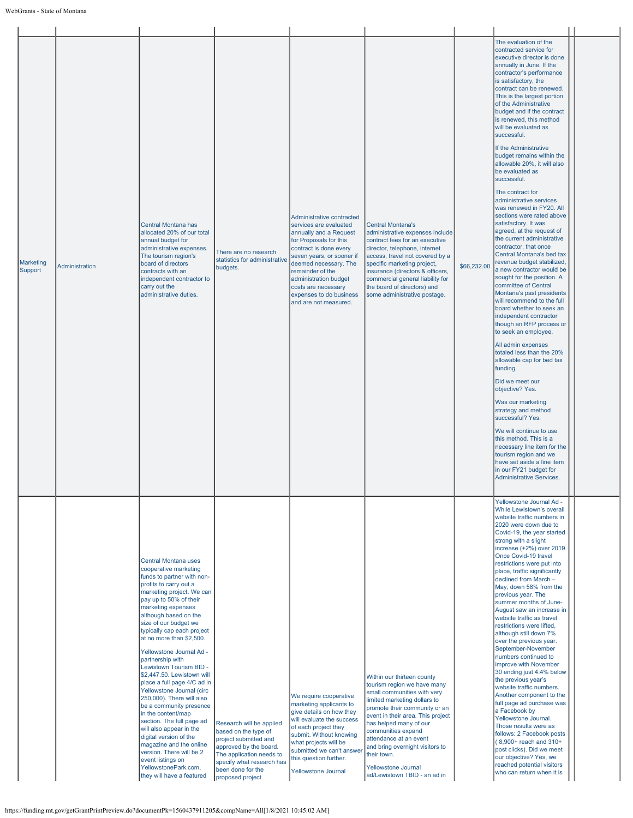| Marketing<br>Support | Administration | Central Montana has<br>allocated 20% of our total<br>annual budget for<br>administrative expenses.<br>The tourism region's<br>board of directors<br>contracts with an<br>independent contractor to<br>carry out the<br>administrative duties.                                                                                                                                                                                                                                                                                                                                                                                                                                                                                                                        | There are no research<br>statistics for administrative<br>budgets.                                                                                                                                     | Administrative contracted<br>services are evaluated<br>annually and a Request<br>for Proposals for this<br>contract is done every<br>seven years, or sooner if<br>deemed necessary. The<br>remainder of the<br>administration budget<br>costs are necessary<br>expenses to do business<br>and are not measured. | <b>Central Montana's</b><br>administrative expenses include<br>contract fees for an executive<br>director, telephone, internet<br>access, travel not covered by a<br>specific marketing project,<br>insurance (directors & officers,<br>commercial general liability for<br>the board of directors) and<br>some administrative postage.                                           | \$66,232.00 | The evaluation of the<br>contracted service for<br>executive director is done<br>annually in June. If the<br>contractor's performance<br>is satisfactory, the<br>contract can be renewed.<br>This is the largest portion<br>of the Administrative<br>budget and if the contract<br>is renewed, this method<br>will be evaluated as<br>successful.<br>If the Administrative<br>budget remains within the<br>allowable 20%, it will also<br>be evaluated as<br>successful.<br>The contract for<br>administrative services<br>was renewed in FY20. All<br>sections were rated above<br>satisfactory. It was<br>agreed, at the request of<br>the current administrative<br>contractor, that once<br>Central Montana's bed tax<br>revenue budget stabilized,<br>a new contractor would be<br>sought for the position. A<br>committee of Central<br>Montana's past presidents<br>will recommend to the full<br>board whether to seek an<br>independent contractor<br>though an RFP process or<br>to seek an employee.<br>All admin expenses<br>totaled less than the 20%<br>allowable cap for bed tax<br>funding.<br>Did we meet our<br>objective? Yes.<br>Was our marketing<br>strategy and method<br>successful? Yes.<br>We will continue to use<br>this method. This is a<br>necessary line item for the<br>tourism region and we<br>have set aside a line item<br>in our FY21 budget for<br><b>Administrative Services.</b> |  |
|----------------------|----------------|----------------------------------------------------------------------------------------------------------------------------------------------------------------------------------------------------------------------------------------------------------------------------------------------------------------------------------------------------------------------------------------------------------------------------------------------------------------------------------------------------------------------------------------------------------------------------------------------------------------------------------------------------------------------------------------------------------------------------------------------------------------------|--------------------------------------------------------------------------------------------------------------------------------------------------------------------------------------------------------|-----------------------------------------------------------------------------------------------------------------------------------------------------------------------------------------------------------------------------------------------------------------------------------------------------------------|-----------------------------------------------------------------------------------------------------------------------------------------------------------------------------------------------------------------------------------------------------------------------------------------------------------------------------------------------------------------------------------|-------------|---------------------------------------------------------------------------------------------------------------------------------------------------------------------------------------------------------------------------------------------------------------------------------------------------------------------------------------------------------------------------------------------------------------------------------------------------------------------------------------------------------------------------------------------------------------------------------------------------------------------------------------------------------------------------------------------------------------------------------------------------------------------------------------------------------------------------------------------------------------------------------------------------------------------------------------------------------------------------------------------------------------------------------------------------------------------------------------------------------------------------------------------------------------------------------------------------------------------------------------------------------------------------------------------------------------------------------------------------------------------------------------------------------------------------|--|
|                      |                | Central Montana uses<br>cooperative marketing<br>funds to partner with non-<br>profits to carry out a<br>marketing project. We can<br>pay up to 50% of their<br>marketing expenses<br>although based on the<br>size of our budget we<br>typically cap each project<br>at no more than \$2,500.<br>Yellowstone Journal Ad -<br>partnership with<br>Lewistown Tourism BID -<br>\$2,447.50. Lewistown will<br>place a full page 4/C ad in<br>Yellowstone Journal (circ<br>250,000). There will also<br>be a community presence<br>in the content/map<br>section. The full page ad<br>will also appear in the<br>digital version of the<br>magazine and the online<br>version. There will be 2<br>event listings on<br>YellowstonePark.com,<br>they will have a featured | Research will be applied<br>based on the type of<br>project submitted and<br>approved by the board.<br>The application needs to<br>specify what research has<br>been done for the<br>proposed project. | We require cooperative<br>marketing applicants to<br>give details on how they<br>will evaluate the success<br>of each project they<br>submit. Without knowing<br>what projects will be<br>submitted we can't answer<br>this question further.<br>Yellowstone Journal                                            | Within our thirteen county<br>tourism region we have many<br>small communities with very<br>limited marketing dollars to<br>promote their community or an<br>event in their area. This project<br>has helped many of our<br>communities expand<br>attendance at an event<br>and bring overnight visitors to<br>their town.<br>Yellowstone Journal<br>ad/Lewistown TBID - an ad in |             | Yellowstone Journal Ad -<br>While Lewistown's overall<br>website traffic numbers in<br>2020 were down due to<br>Covid-19, the year started<br>strong with a slight<br>increase (+2%) over 2019.<br>Once Covid-19 travel<br>restrictions were put into<br>place, traffic significantly<br>declined from March -<br>May, down 58% from the<br>previous year. The<br>summer months of June-<br>August saw an increase in<br>website traffic as travel<br>restrictions were lifted,<br>although still down 7%<br>over the previous year.<br>September-November<br>numbers continued to<br>improve with November<br>30 ending just 4.4% below<br>the previous year's<br>website traffic numbers.<br>Another component to the<br>full page ad purchase was<br>a Facebook by<br>Yellowstone Journal.<br>Those results were as<br>follows: 2 Facebook posts<br>(8,900+ reach and 310+<br>post clicks). Did we meet<br>our objective? Yes, we<br>reached potential visitors<br>who can return when it is                                                                                                                                                                                                                                                                                                                                                                                                                           |  |

https://funding.mt.gov/getGrantPrintPreview.do?documentPk=1560437911205&compName=All[1/8/2021 10:45:02 AM]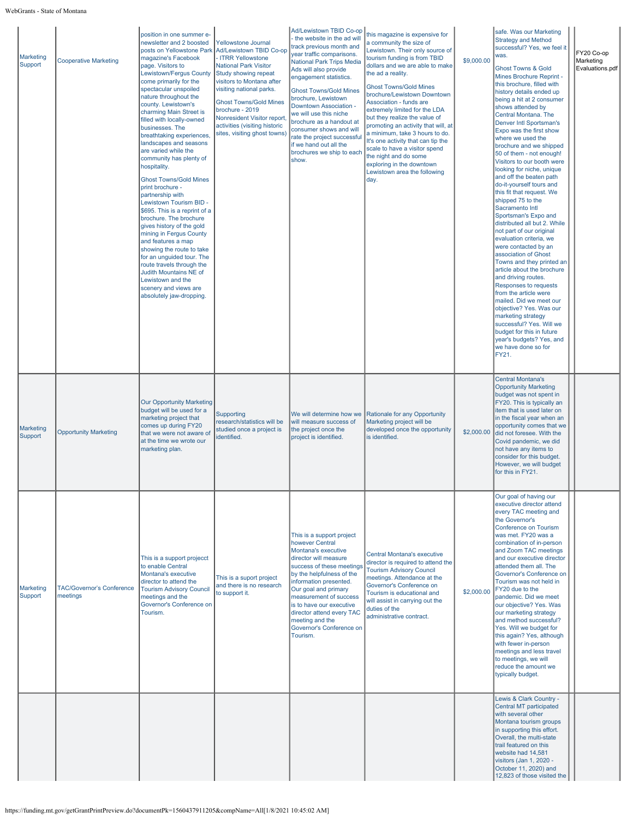| Marketing<br>Support | <b>Cooperative Marketing</b>                 | position in one summer e-<br>newsletter and 2 boosted<br>posts on Yellowstone Park<br>magazine's Facebook<br>page. Visitors to<br>Lewistown/Fergus County<br>come primarily for the<br>spectacular unspoiled<br>nature throughout the<br>county. Lewistown's<br>charming Main Street is<br>filled with locally-owned<br>businesses. The<br>breathtaking experiences,<br>landscapes and seasons<br>are varied while the<br>community has plenty of<br>hospitality.<br><b>Ghost Towns/Gold Mines</b><br>print brochure -<br>partnership with<br>Lewistown Tourism BID -<br>\$695. This is a reprint of a<br>brochure. The brochure<br>gives history of the gold<br>mining in Fergus County<br>and features a map<br>showing the route to take<br>for an unguided tour. The<br>route travels through the<br>Judith Mountains NE of<br>Lewistown and the<br>scenery and views are<br>absolutely jaw-dropping. | <b>Yellowstone Journal</b><br>Ad/Lewistown TBID Co-op<br>- ITRR Yellowstone<br><b>National Park Visitor</b><br>Study showing repeat<br>visitors to Montana after<br>visiting national parks.<br><b>Ghost Towns/Gold Mines</b><br>brochure - 2019<br>Nonresident Visitor report<br>activities (visiting historic<br>sites, visiting ghost towns) | Ad/Lewistown TBID Co-op<br>the website in the ad will<br>track previous month and<br>year traffic comparisons.<br>National Park Trips Media<br>Ads will also provide<br>engagement statistics.<br><b>Ghost Towns/Gold Mines</b><br>brochure, Lewistown<br>Downtown Association -<br>we will use this niche<br>brochure as a handout at<br>consumer shows and will<br>rate the project successful<br>if we hand out all the<br>brochures we ship to each<br>show. | this magazine is expensive for<br>a community the size of<br>Lewistown. Their only source of<br>tourism funding is from TBID<br>dollars and we are able to make<br>the ad a reality.<br><b>Ghost Towns/Gold Mines</b><br>brochure/Lewistown Downtown<br>Association - funds are<br>extremely limited for the LDA<br>but they realize the value of<br>promoting an activity that will, at<br>a minimum, take 3 hours to do.<br>It's one activity that can tip the<br>scale to have a visitor spend<br>the night and do some<br>exploring in the downtown<br>Lewistown area the following<br>day. | \$9,000.00 | safe. Was our Marketing<br><b>Strategy and Method</b><br>successful? Yes, we feel it<br>was.<br><b>Ghost Towns &amp; Gold</b><br>Mines Brochure Reprint -<br>this brochure, filled with<br>history details ended up<br>being a hit at 2 consumer<br>shows attended by<br>Central Montana. The<br><b>Denver Intl Sportsman's</b><br>Expo was the first show<br>where we used the<br>brochure and we shipped<br>50 of them - not enough!<br>Visitors to our booth were<br>looking for niche, unique<br>and off the beaten path<br>do-it-yourself tours and<br>this fit that request. We<br>shipped 75 to the<br>Sacramento Intl<br>Sportsman's Expo and<br>distributed all but 2. While<br>not part of our original<br>evaluation criteria, we<br>were contacted by an<br>association of Ghost<br>Towns and they printed an<br>article about the brochure<br>and driving routes.<br>Responses to requests<br>from the article were<br>mailed. Did we meet our<br>objective? Yes. Was our<br>marketing strategy<br>successful? Yes. Will we<br>budget for this in future<br>year's budgets? Yes, and<br>we have done so for<br>FY21. | FY20 Co-op<br>Marketing<br>Evaluations.pdf |
|----------------------|----------------------------------------------|-----------------------------------------------------------------------------------------------------------------------------------------------------------------------------------------------------------------------------------------------------------------------------------------------------------------------------------------------------------------------------------------------------------------------------------------------------------------------------------------------------------------------------------------------------------------------------------------------------------------------------------------------------------------------------------------------------------------------------------------------------------------------------------------------------------------------------------------------------------------------------------------------------------|-------------------------------------------------------------------------------------------------------------------------------------------------------------------------------------------------------------------------------------------------------------------------------------------------------------------------------------------------|------------------------------------------------------------------------------------------------------------------------------------------------------------------------------------------------------------------------------------------------------------------------------------------------------------------------------------------------------------------------------------------------------------------------------------------------------------------|-------------------------------------------------------------------------------------------------------------------------------------------------------------------------------------------------------------------------------------------------------------------------------------------------------------------------------------------------------------------------------------------------------------------------------------------------------------------------------------------------------------------------------------------------------------------------------------------------|------------|-----------------------------------------------------------------------------------------------------------------------------------------------------------------------------------------------------------------------------------------------------------------------------------------------------------------------------------------------------------------------------------------------------------------------------------------------------------------------------------------------------------------------------------------------------------------------------------------------------------------------------------------------------------------------------------------------------------------------------------------------------------------------------------------------------------------------------------------------------------------------------------------------------------------------------------------------------------------------------------------------------------------------------------------------------------------------------------------------------------------------------------|--------------------------------------------|
| Marketing<br>Support | <b>Opportunity Marketing</b>                 | Our Opportunity Marketing<br>budget will be used for a<br>marketing project that<br>comes up during FY20<br>that we were not aware of<br>at the time we wrote our<br>marketing plan.                                                                                                                                                                                                                                                                                                                                                                                                                                                                                                                                                                                                                                                                                                                      | Supporting<br>research/statistics will be<br>studied once a project is<br>identified.                                                                                                                                                                                                                                                           | We will determine how we<br>will measure success of<br>the project once the<br>project is identified.                                                                                                                                                                                                                                                                                                                                                            | Rationale for any Opportunity<br>Marketing project will be<br>developed once the opportunity<br>is identified.                                                                                                                                                                                                                                                                                                                                                                                                                                                                                  | \$2,000.00 | <b>Central Montana's</b><br><b>Opportunity Marketing</b><br>budget was not spent in<br>FY20. This is typically an<br>item that is used later on<br>in the fiscal year when an<br>opportunity comes that we<br>did not foresee. With the<br>Covid pandemic, we did<br>not have any items to<br>consider for this budget.<br>However, we will budget<br>for this in FY21.                                                                                                                                                                                                                                                                                                                                                                                                                                                                                                                                                                                                                                                                                                                                                           |                                            |
| Marketing<br>Support | <b>TAC/Governor's Conference</b><br>meetings | This is a support projecct<br>to enable Central<br>Montana's executive<br>director to attend the<br><b>Tourism Advisory Council</b><br>meetings and the<br>Governor's Conference on<br>Tourism.                                                                                                                                                                                                                                                                                                                                                                                                                                                                                                                                                                                                                                                                                                           | This is a suport project<br>and there is no research<br>to support it.                                                                                                                                                                                                                                                                          | This is a support project<br>however Central<br>Montana's executive<br>director will measure<br>success of these meetings<br>by the helpfulness of the<br>information presented.<br>Our goal and primary<br>measurement of success<br>is to have our executive<br>director attend every TAC<br>meeting and the<br>Governor's Conference on<br>Tourism.                                                                                                           | Central Montana's executive<br>director is required to attend the<br><b>Tourism Advisory Council</b><br>meetings. Attendance at the<br>Governor's Conference on<br>Tourism is educational and<br>will assist in carrying out the<br>duties of the<br>administrative contract.                                                                                                                                                                                                                                                                                                                   | \$2,000.00 | Our goal of having our<br>executive director attend<br>every TAC meeting and<br>the Governor's<br><b>Conference on Tourism</b><br>was met. FY20 was a<br>combination of in-person<br>and Zoom TAC meetings<br>and our executive director<br>attended them all. The<br>Governor's Conference on<br>Tourism was not held in<br>FY20 due to the<br>pandemic. Did we meet<br>our objective? Yes. Was<br>our marketing strategy<br>and method successful?<br>Yes. Will we budget for<br>this again? Yes, although<br>with fewer in-person<br>meetings and less travel<br>to meetings, we will<br>reduce the amount we<br>typically budget.                                                                                                                                                                                                                                                                                                                                                                                                                                                                                             |                                            |
|                      |                                              |                                                                                                                                                                                                                                                                                                                                                                                                                                                                                                                                                                                                                                                                                                                                                                                                                                                                                                           |                                                                                                                                                                                                                                                                                                                                                 |                                                                                                                                                                                                                                                                                                                                                                                                                                                                  |                                                                                                                                                                                                                                                                                                                                                                                                                                                                                                                                                                                                 |            | Lewis & Clark Country -<br>Central MT participated<br>with several other<br>Montana tourism groups<br>in supporting this effort.<br>Overall, the multi-state<br>trail featured on this<br>website had 14,581<br>visitors (Jan 1, 2020 -<br>October 11, 2020) and<br>12,823 of those visited the                                                                                                                                                                                                                                                                                                                                                                                                                                                                                                                                                                                                                                                                                                                                                                                                                                   |                                            |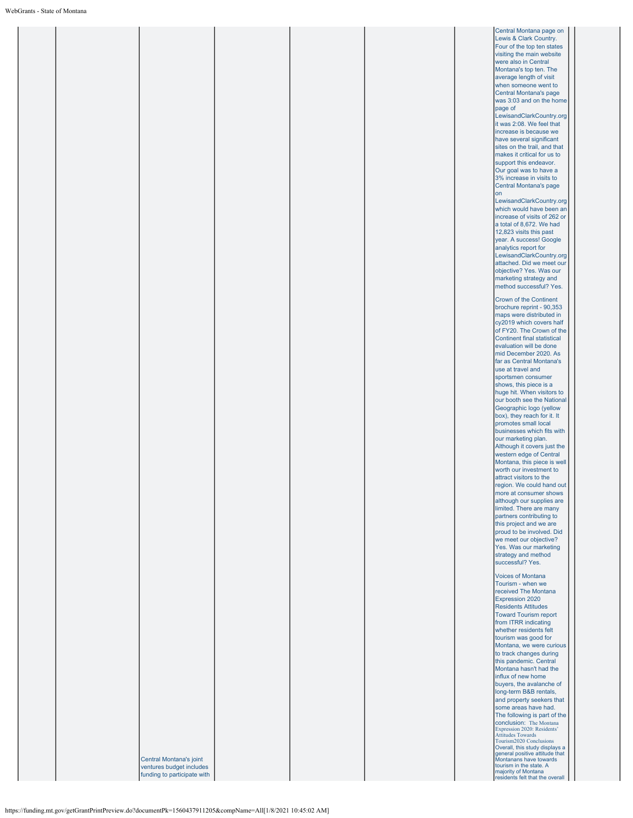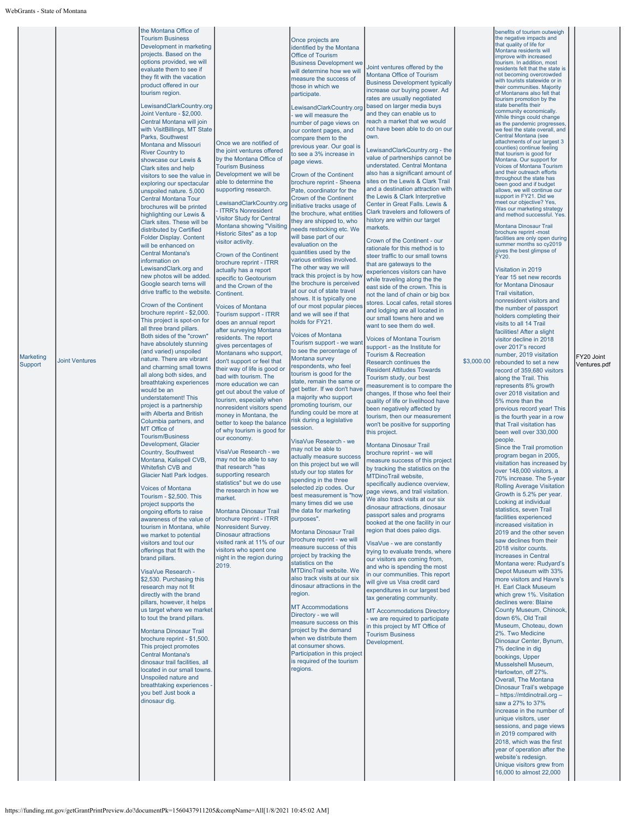|  | the Montana Office of<br><b>Tourism Business</b><br>Development in marketing<br>projects. Based on the<br>options provided, we will<br>evaluate them to see if<br>they fit with the vacation<br>product offered in our<br>tourism region.<br>_ewisandClarkCountry.org<br>Joint Venture - \$2,000.<br>Central Montana will join<br>with VisitBillings, MT State<br>Parks, Southwest<br>Montana and Missouri<br><b>River Country to</b><br>showcase our Lewis &<br>Clark sites and help<br>visitors to see the value in<br>exploring our spectacular<br>unspoiled nature. 5,000<br>Central Montana Tour<br>brochures will be printed<br>highlighting our Lewis &<br>Clark sites. These will be<br>distributed by Certified<br>Folder Display. Content<br>will be enhanced on<br><b>Central Montana's</b><br>information on<br>LewisandClark.org and<br>new photos will be added.<br>Google search terns will<br>drive traffic to the website.<br>Crown of the Continent<br>brochure reprint - \$2,000. | Once we are notified of<br>the joint ventures offered<br>by the Montana Office of<br><b>Tourism Business</b><br>Development we will be<br>able to determine the<br>supporting research.<br>LewisandClarkCountry.org<br><b>ITRR's Nonresident</b><br><b>Visitor Study for Central</b><br>Montana showing "Visiting<br>Historic Sites" as a top<br>visitor activity.<br><b>Crown of the Continent</b><br>brochure reprint - ITRR<br>actually has a report<br>specific to Geotourism<br>and the Crown of the<br>Continent.<br><b>Voices of Montana</b><br>Tourism support - ITRR | Once projects are<br>identified by the Montana<br><b>Office of Tourism</b><br><b>Business Development we</b><br>will determine how we will<br>measure the success of<br>those in which we<br>participate.<br>LewisandClarkCountry.org<br>- we will measure the<br>number of page views on<br>our content pages, and<br>compare them to the<br>previous year. Our goal is<br>to see a 3% increase in<br>page views.<br>Crown of the Continent<br>brochure reprint - Sheena<br>Pate, coordinator for the<br>Crown of the Continent<br>initiative tracks usage of<br>the brochure, what entities<br>they are shipped to, who<br>needs restocking etc. We<br>will base part of our<br>evaluation on the<br>quantities used by the<br>various entities involved.<br>The other way we will<br>track this project is by how<br>the brochure is perceived<br>at our out of state travel<br>shows. It is typically one<br>of our most popular pieces<br>and we will see if that | Joint ventures offered by the<br>Montana Office of Tourism<br><b>Business Development typically</b><br>increase our buying power. Ad<br>rates are usually negotiated<br>based on larger media buys<br>and they can enable us to<br>reach a market that we would<br>not have been able to do on our<br>own.<br>LewisandClarkCountry.org - the<br>value of partnerships cannot be<br>understated. Central Montana<br>also has a significant amount of<br>sites on the Lewis & Clark Trail<br>and a destination attraction with<br>the Lewis & Clark Interpretive<br>Center in Great Falls. Lewis &<br>Clark travelers and followers of<br>history are within our target<br>markets.<br>Crown of the Continent - our<br>rationale for this method is to<br>steer traffic to our small towns<br>that are gateways to the<br>experiences visitors can have<br>while traveling along the the<br>east side of the crown. This is<br>not the land of chain or big box<br>stores. Local cafes, retail stores<br>and lodging are all located in<br>our small towns here and we | benefits of tourism outweigh<br>the negative impacts and<br>that quality of life for<br>Montana residents will<br>improve with increased<br>tourism. In addition, most<br>residents felt that the state is<br>not becoming overcrowded<br>with tourists statewide or in<br>their communities. Majority<br>of Montanans also felt that<br>tourism promotion by the<br>state benefits their<br>community economically.<br>While things could change<br>as the pandemic progresses,<br>we feel the state overall, and<br>Central Montana (see<br>attachments of our largest 3<br>counties) continue feeling<br>that tourism is good for<br>Montana. Our support for<br>Voices of Montana Tourism<br>and their outreach efforts<br>throughout the state has<br>been good and if budget<br>allows, we will continue our<br>support in FY21. Did we<br>meet our objective? Yes,<br>Was our marketing strategy<br>and method successful. Yes.<br>Montana Dinosaur Trail<br>brochure reprint -most<br>facilities are only open during<br>summer months so cy2019<br>gives the best glimpse of<br>FY20.<br>Visitation in 2019<br>Year 15 set new records<br>for Montana Dinosaur<br>Trail visitation,<br>nonresident visitors and<br>the number of passport<br>holders completing their |  |
|--|------------------------------------------------------------------------------------------------------------------------------------------------------------------------------------------------------------------------------------------------------------------------------------------------------------------------------------------------------------------------------------------------------------------------------------------------------------------------------------------------------------------------------------------------------------------------------------------------------------------------------------------------------------------------------------------------------------------------------------------------------------------------------------------------------------------------------------------------------------------------------------------------------------------------------------------------------------------------------------------------------|-------------------------------------------------------------------------------------------------------------------------------------------------------------------------------------------------------------------------------------------------------------------------------------------------------------------------------------------------------------------------------------------------------------------------------------------------------------------------------------------------------------------------------------------------------------------------------|------------------------------------------------------------------------------------------------------------------------------------------------------------------------------------------------------------------------------------------------------------------------------------------------------------------------------------------------------------------------------------------------------------------------------------------------------------------------------------------------------------------------------------------------------------------------------------------------------------------------------------------------------------------------------------------------------------------------------------------------------------------------------------------------------------------------------------------------------------------------------------------------------------------------------------------------------------------------|----------------------------------------------------------------------------------------------------------------------------------------------------------------------------------------------------------------------------------------------------------------------------------------------------------------------------------------------------------------------------------------------------------------------------------------------------------------------------------------------------------------------------------------------------------------------------------------------------------------------------------------------------------------------------------------------------------------------------------------------------------------------------------------------------------------------------------------------------------------------------------------------------------------------------------------------------------------------------------------------------------------------------------------------------------------------|--------------------------------------------------------------------------------------------------------------------------------------------------------------------------------------------------------------------------------------------------------------------------------------------------------------------------------------------------------------------------------------------------------------------------------------------------------------------------------------------------------------------------------------------------------------------------------------------------------------------------------------------------------------------------------------------------------------------------------------------------------------------------------------------------------------------------------------------------------------------------------------------------------------------------------------------------------------------------------------------------------------------------------------------------------------------------------------------------------------------------------------------------------------------------------------------------------------------------------------------------------------------------------|--|
|  | Country, Southwest<br>Montana, Kalispell CVB,<br>Whitefish CVB and<br>Glacier Natl Park lodges.<br><b>Voices of Montana</b><br>Tourism - \$2,500. This<br>project supports the<br>ongoing efforts to raise<br>awareness of the value of<br>tourism in Montana, while<br>we market to potential<br>visitors and tout our<br>offerings that fit with the<br>brand pillars.<br>VisaVue Research -<br>\$2,530. Purchasing this<br>research may not fit<br>directly with the brand<br>pillars, however, it helps<br>us target where we market<br>to tout the brand pillars.<br>Montana Dinosaur Trail<br>brochure reprint - \$1,500.<br>This project promotes<br><b>Central Montana's</b><br>dinosaur trail facilities, all<br>located in our small towns.<br>Unspoiled nature and<br>breathtaking experiences -<br>you bet! Just book a<br>dinosaur dig.                                                                                                                                                 | may not be able to say<br>that research "has<br>supporting research<br>statistics" but we do use<br>the research in how we<br>market.<br><b>Montana Dinosaur Trail</b><br>brochure reprint - ITRR<br>Nonresident Survey.<br><b>Dinosaur attractions</b><br>visited rank at 11% of our<br>visitors who spent one<br>night in the region during<br>2019.                                                                                                                                                                                                                        | actually measure success<br>on this project but we will<br>study our top states for<br>spending in the three<br>selected zip codes. Our<br>best measurement is "how<br>many times did we use<br>the data for marketing<br>purposes".<br>Montana Dinosaur Trail<br>brochure reprint - we will<br>measure success of this<br>project by tracking the<br>statistics on the<br>MTDinoTrail website. We<br>also track visits at our six<br>dinosaur attractions in the<br>region.<br><b>MT Accommodations</b><br>Directory - we will<br>measure success on this<br>project by the demand<br>when we distribute them<br>at consumer shows.<br>Participation in this project<br>is required of the tourism<br>regions.                                                                                                                                                                                                                                                        | brochure reprint - we will<br>measure success of this project<br>by tracking the statistics on the<br>MTDinoTrail website,<br>specifically audience overview,<br>page views, and trail visitation.<br>We also track visits at our six<br>dinosaur attractions, dinosaur<br>passport sales and programs<br>booked at the one facility in our<br>region that does paleo digs.<br>VisaVue - we are constantly<br>trying to evaluate trends, where<br>our visitors are coming from,<br>and who is spending the most<br>in our communities. This report<br>will give us Visa credit card<br>expenditures in our largest bed<br>tax generating community.<br><b>MT Accommodations Directory</b><br>we are required to participate<br>in this project by MT Office of<br><b>Tourism Business</b><br>Development.                                                                                                                                                                                                                                                            | program began in 2005,<br>visitation has increased by<br>over 148,000 visitors, a<br>70% increase. The 5-year<br><b>Rolling Average Visitation</b><br>Growth is 5.2% per year.<br>Looking at individual<br>statistics, seven Trail<br>facilities experienced<br>increased visitation in<br>2019 and the other seven<br>saw declines from their<br>2018 visitor counts.<br>Increases in Central<br>Montana were: Rudyard's<br>Depot Museum with 33%<br>more visitors and Havre's<br>H. Earl Clack Museum<br>which grew 1%. Visitation<br>declines were: Blaine<br>County Museum, Chinook,<br>down 6%, Old Trail<br>Museum, Choteau, down<br>2%. Two Medicine<br>Dinosaur Center, Bynum,<br>7% decline in dig<br>bookings, Upper<br>Musselshell Museum,<br>Harlowton, off 27%.<br>Overall, The Montana<br>Dinosaur Trail's webpage<br>- https://mtdinotrail.org -<br>saw a 27% to 37%<br>increase in the number of<br>unique visitors, user<br>sessions, and page views<br>in 2019 compared with<br>2018, which was the first<br>year of operation after the<br>website's redesign.<br>Unique visitors grew from<br>16,000 to almost 22,000                                                                                                                                      |  |

https://funding.mt.gov/getGrantPrintPreview.do?documentPk=1560437911205&compName=All[1/8/2021 10:45:02 AM]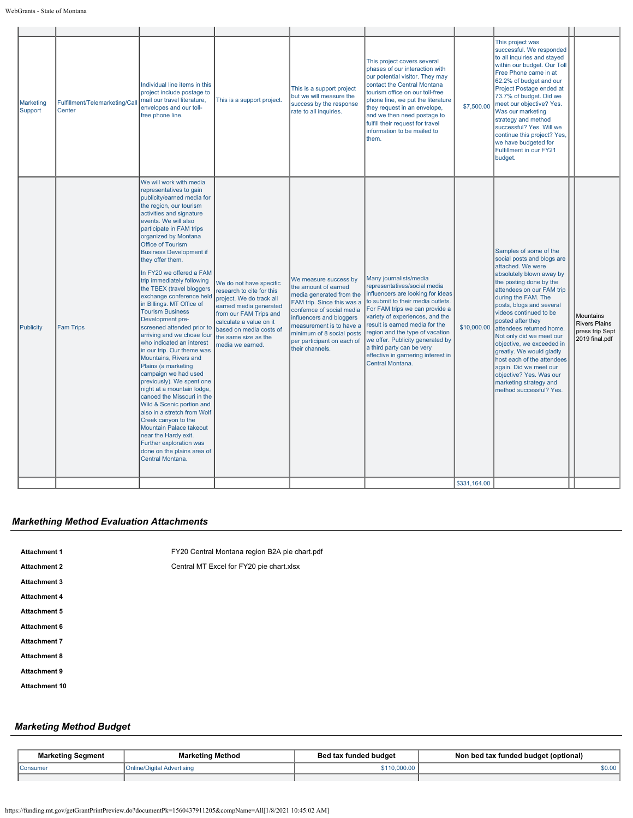| Marketing<br>Support | Fulfillment/Telemarketing/Cal<br>Center | Individual line items in this<br>project include postage to<br>mail our travel literature,<br>envelopes and our toll-<br>free phone line.                                                                                                                                                                                                                                                                                                                                                                                                                                                                                                                                                                                                                                                                                                                                                                                                                                                                | This is a support project.                                                                                                                                                                                                             | This is a support project<br>but we will measure the<br>success by the response<br>rate to all inquiries.                                                                                                                                                                  | This project covers several<br>phases of our interaction with<br>our potential visitor. They may<br>contact the Central Montana<br>tourism office on our toll-free<br>phone line, we put the literature<br>they request in an envelope,<br>and we then need postage to<br>fulfill their request for travel<br>information to be mailed to<br>them.                                                    | \$7,500.00   | This project was<br>successful. We responded<br>to all inquiries and stayed<br>within our budget. Our Toll<br>Free Phone came in at<br>62.2% of budget and our<br>Project Postage ended at<br>73.7% of budget. Did we<br>meet our objective? Yes.<br>Was our marketing<br>strategy and method<br>successful? Yes. Will we<br>continue this project? Yes,<br>we have budgeted for<br>Fulfillment in our FY21<br>budget.                                                                                                   |                                                                        |
|----------------------|-----------------------------------------|----------------------------------------------------------------------------------------------------------------------------------------------------------------------------------------------------------------------------------------------------------------------------------------------------------------------------------------------------------------------------------------------------------------------------------------------------------------------------------------------------------------------------------------------------------------------------------------------------------------------------------------------------------------------------------------------------------------------------------------------------------------------------------------------------------------------------------------------------------------------------------------------------------------------------------------------------------------------------------------------------------|----------------------------------------------------------------------------------------------------------------------------------------------------------------------------------------------------------------------------------------|----------------------------------------------------------------------------------------------------------------------------------------------------------------------------------------------------------------------------------------------------------------------------|-------------------------------------------------------------------------------------------------------------------------------------------------------------------------------------------------------------------------------------------------------------------------------------------------------------------------------------------------------------------------------------------------------|--------------|--------------------------------------------------------------------------------------------------------------------------------------------------------------------------------------------------------------------------------------------------------------------------------------------------------------------------------------------------------------------------------------------------------------------------------------------------------------------------------------------------------------------------|------------------------------------------------------------------------|
| Publicity            | <b>Fam Trips</b>                        | We will work with media<br>representatives to gain<br>publicity/earned media for<br>the region, our tourism<br>activities and signature<br>events. We will also<br>participate in FAM trips<br>organized by Montana<br>Office of Tourism<br><b>Business Development if</b><br>they offer them.<br>In FY20 we offered a FAM<br>trip immediately following<br>the TBEX (travel bloggers<br>exchange conference held<br>in Billings. MT Office of<br><b>Tourism Business</b><br>Development pre-<br>screened attended prior to<br>arriving and we chose four<br>who indicated an interest<br>in our trip. Our theme was<br>Mountains, Rivers and<br>Plains (a marketing<br>campaign we had used<br>previously). We spent one<br>night at a mountain lodge,<br>canoed the Missouri in the<br>Wild & Scenic portion and<br>also in a stretch from Wolf<br>Creek canyon to the<br>Mountain Palace takeout<br>near the Hardy exit.<br>Further exploration was<br>done on the plains area of<br>Central Montana. | We do not have specific<br>research to cite for this<br>project. We do track all<br>earned media generated<br>from our FAM Trips and<br>calculate a value on it<br>based on media costs of<br>the same size as the<br>media we earned. | We measure success by<br>the amount of earned<br>media generated from the<br>FAM trip. Since this was a<br>confernce of social media<br>influencers and bloggers<br>measurement is to have a<br>minimum of 8 social posts<br>per participant on each of<br>their channels. | Many journalists/media<br>representatives/social media<br>influencers are looking for ideas<br>to submit to their media outlets.<br>For FAM trips we can provide a<br>variety of experiences, and the<br>result is earned media for the<br>region and the type of vacation<br>we offer. Publicity generated by<br>a third party can be very<br>effective in garnering interest in<br>Central Montana. | \$10,000.00  | Samples of some of the<br>social posts and blogs are<br>attached. We were<br>absolutely blown away by<br>the posting done by the<br>attendees on our FAM trip<br>during the FAM. The<br>posts, blogs and several<br>videos continued to be<br>posted after they<br>attendees returned home.<br>Not only did we meet our<br>objective, we exceeded in<br>greatly. We would gladly<br>host each of the attendees<br>again. Did we meet our<br>objective? Yes. Was our<br>marketing strategy and<br>method successful? Yes. | Mountains<br><b>Rivers Plains</b><br>press trip Sept<br>2019 final.pdf |
|                      |                                         |                                                                                                                                                                                                                                                                                                                                                                                                                                                                                                                                                                                                                                                                                                                                                                                                                                                                                                                                                                                                          |                                                                                                                                                                                                                                        |                                                                                                                                                                                                                                                                            |                                                                                                                                                                                                                                                                                                                                                                                                       | \$331,164.00 |                                                                                                                                                                                                                                                                                                                                                                                                                                                                                                                          |                                                                        |

### *Markething Method Evaluation Attachments*

| <b>Attachment 1</b>  | FY20 Central Montana region B2A pie chart.pdf |
|----------------------|-----------------------------------------------|
| <b>Attachment 2</b>  | Central MT Excel for FY20 pie chart.xlsx      |
| <b>Attachment 3</b>  |                                               |
| <b>Attachment 4</b>  |                                               |
| <b>Attachment 5</b>  |                                               |
| <b>Attachment 6</b>  |                                               |
| <b>Attachment 7</b>  |                                               |
| <b>Attachment 8</b>  |                                               |
| <b>Attachment 9</b>  |                                               |
| <b>Attachment 10</b> |                                               |

### *Marketing Method Budget*

| Marketing Segment | ™arketing Method       | tax funded budget | l tax funded budget (optional)<br>Non bed |
|-------------------|------------------------|-------------------|-------------------------------------------|
| Consumer          | ne/Digital Advertising | ,,,,,,,           | \$0.00                                    |
|                   |                        |                   |                                           |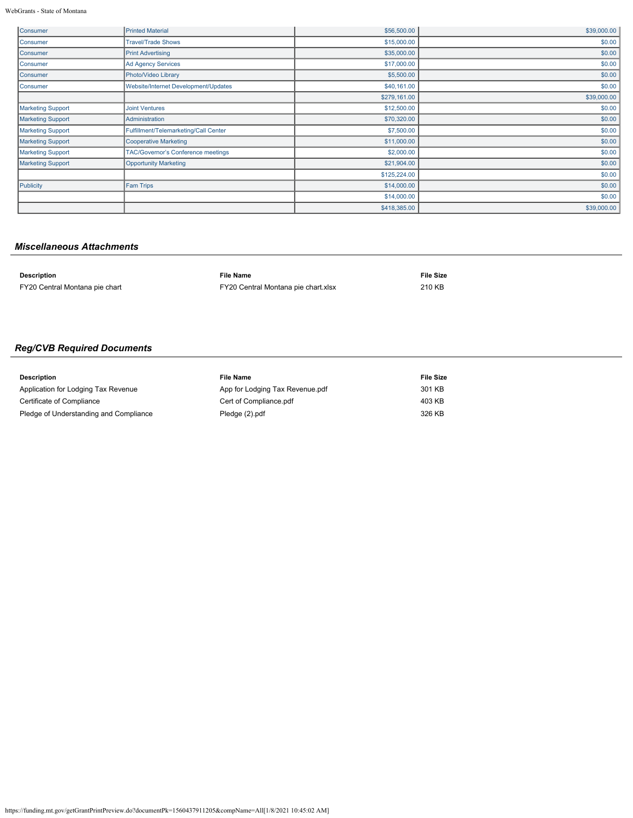WebGrants - State of Montana

| Consumer                 | <b>Printed Material</b>                   | \$56,500.00  | \$39,000.00 |
|--------------------------|-------------------------------------------|--------------|-------------|
| Consumer                 | <b>Travel/Trade Shows</b>                 | \$15,000.00  | \$0.00      |
| <b>Consumer</b>          | <b>Print Advertising</b>                  | \$35,000.00  | \$0.00      |
| Consumer                 | <b>Ad Agency Services</b>                 | \$17,000.00  | \$0.00      |
| Consumer                 | Photo/Video Library                       | \$5,500.00   | \$0.00      |
| <b>Consumer</b>          | Website/Internet Development/Updates      | \$40,161.00  | \$0.00      |
|                          |                                           | \$279,161.00 | \$39,000.00 |
| <b>Marketing Support</b> | <b>Joint Ventures</b>                     | \$12,500.00  | \$0.00      |
| <b>Marketing Support</b> | Administration                            | \$70,320.00  | \$0.00      |
| <b>Marketing Support</b> | Fulfillment/Telemarketing/Call Center     | \$7,500.00   | \$0.00      |
| <b>Marketing Support</b> | <b>Cooperative Marketing</b>              | \$11,000.00  | \$0.00      |
| <b>Marketing Support</b> | <b>TAC/Governor's Conference meetings</b> | \$2,000.00   | \$0.00      |
| <b>Marketing Support</b> | <b>Opportunity Marketing</b>              | \$21,904.00  | \$0.00      |
|                          |                                           | \$125,224.00 | \$0.00      |
| Publicity                | Fam Trips                                 | \$14,000.00  | \$0.00      |
|                          |                                           | \$14,000.00  | \$0.00      |
|                          |                                           | \$418,385.00 | \$39,000.00 |

### *Miscellaneous Attachments*

| <b>Description</b>             | File Name                           | <b>File Size</b> |
|--------------------------------|-------------------------------------|------------------|
| FY20 Central Montana pie chart | FY20 Central Montana pie chart.xlsx | 210 KB           |

# *Reg/CVB Required Documents*

| <b>Description</b>                     | File Name                       | File Size |
|----------------------------------------|---------------------------------|-----------|
| Application for Lodging Tax Revenue    | App for Lodging Tax Revenue.pdf | 301 KB    |
| Certificate of Compliance              | Cert of Compliance.pdf          | 403 KB    |
| Pledge of Understanding and Compliance | Pledge (2).pdf                  | 326 KB    |